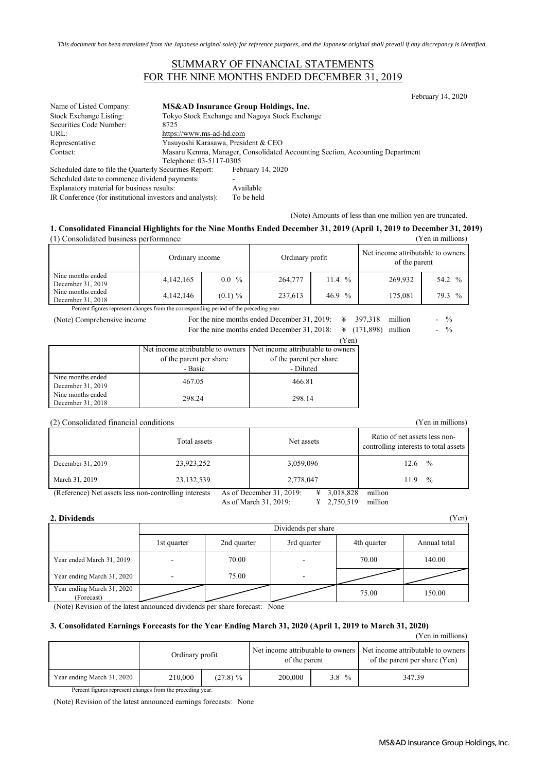### SUMMARY OF FINANCIAL STATEMENTS FOR THE NINE MONTHS ENDED DECEMBER 31, 2019

|                                                           |                                                                               |                                                 | February 14, 2020 |  |  |
|-----------------------------------------------------------|-------------------------------------------------------------------------------|-------------------------------------------------|-------------------|--|--|
| Name of Listed Company:                                   |                                                                               | <b>MS&amp;AD Insurance Group Holdings, Inc.</b> |                   |  |  |
| Stock Exchange Listing:                                   |                                                                               | Tokyo Stock Exchange and Nagoya Stock Exchange  |                   |  |  |
| Securities Code Number:                                   | 8725                                                                          |                                                 |                   |  |  |
| URL:                                                      |                                                                               | https://www.ms-ad-hd.com                        |                   |  |  |
| Representative:                                           | Yasuyoshi Karasawa, President & CEO                                           |                                                 |                   |  |  |
| Contact:                                                  | Masaru Kenma, Manager, Consolidated Accounting Section, Accounting Department |                                                 |                   |  |  |
|                                                           | Telephone: 03-5117-0305                                                       |                                                 |                   |  |  |
| Scheduled date to file the Quarterly Securities Report:   |                                                                               | February 14, 2020                               |                   |  |  |
| Scheduled date to commence dividend payments:             |                                                                               |                                                 |                   |  |  |
| Explanatory material for business results:                |                                                                               | Available                                       |                   |  |  |
| IR Conference (for institutional investors and analysts): |                                                                               | To be held                                      |                   |  |  |

(Note) Amounts of less than one million yen are truncated.

#### **1. Consolidated Financial Highlights for the Nine Months Ended December 31, 2019 (April 1, 2019 to December 31, 2019)** (1) Consolidated business performance (Yen in millions)

|                                        | Ordinary income |            | Ordinary profit |          | Net income attributable to owners<br>of the parent |                       |  |
|----------------------------------------|-----------------|------------|-----------------|----------|----------------------------------------------------|-----------------------|--|
| Nine months ended<br>December 31, 2019 | 4,142,165       | $0.0\%$    | 264,777         | $11.4\%$ | 269.932                                            | 54.2 %                |  |
| Nine months ended<br>December 31, 2018 | 4,142,146       | $(0.1) \%$ | 237,613         | 46.9 $%$ | 175,081                                            | 79.3<br>$\frac{0}{0}$ |  |

Percent figures represent changes from the corresponding period of the preceding year.

(Note) Comprehensive income

For the nine months ended December 31, 2018:  $\frac{4}{3}$  (171,898) million - %

| ,171,898) шшоп |  |
|----------------|--|
|                |  |

|                   |                                   | (Yen)                             |
|-------------------|-----------------------------------|-----------------------------------|
|                   | Net income attributable to owners | Net income attributable to owners |
|                   | of the parent per share           | of the parent per share           |
|                   | - Basic                           | - Diluted                         |
| Nine months ended | 467.05                            | 466.81                            |
| December 31, 2019 |                                   |                                   |
| Nine months ended | 298.24                            | 298.14                            |
| December 31, 2018 |                                   |                                   |

#### (2) Consolidated financial conditions (Yen in millions)

|                                                       | Total assets | Net assets                               | Ratio of net assets less non-<br>controlling interests to total assets |  |  |
|-------------------------------------------------------|--------------|------------------------------------------|------------------------------------------------------------------------|--|--|
| December 31, 2019                                     | 23,923,252   | 3,059,096                                | $\%$<br>12.6                                                           |  |  |
| March 31, 2019                                        | 23,132,539   | 2,778,047                                | $\frac{0}{0}$<br>11.9                                                  |  |  |
| (Reference) Net assets less non-controlling interests |              | As of December $31, 2019$ :<br>3.018.828 | million                                                                |  |  |

(Reference) Net assets less non-controlling interests

As of March 31, 2019: ¥ 2,750,519 million

### **2. Dividends** (Yen)

|                                          | Dividends per share |             |                          |             |              |  |  |  |  |
|------------------------------------------|---------------------|-------------|--------------------------|-------------|--------------|--|--|--|--|
|                                          | 1st quarter         | 2nd quarter | 3rd quarter              | 4th quarter | Annual total |  |  |  |  |
| Year ended March 31, 2019                | -                   | 70.00       | $\overline{\phantom{0}}$ | 70.00       | 140.00       |  |  |  |  |
| Year ending March 31, 2020               |                     | 75.00       | ٠                        |             |              |  |  |  |  |
| Year ending March 31, 2020<br>(Forecast) |                     |             |                          | 75.00       | 150.00       |  |  |  |  |

(Note) Revision of the latest announced dividends per share forecast: None

#### **3. Consolidated Earnings Forecasts for the Year Ending March 31, 2020 (April 1, 2019 to March 31, 2020)**

#### (Yen in millions) % 347.39 Ordinary profit Net income attributable to owners of the parent Net income attributable to owners of the parent per share (Yen) Year ending March 31, 2020 210,000 (27.8) % 200,000

Percent figures represent changes from the preceding year.

(Note) Revision of the latest announced earnings forecasts: None

| 397,318   | million |  |
|-----------|---------|--|
| (171.000) |         |  |

|  |  |  |  | For the nine months ended December 31, 2019: $\frac{4}{3}$ 397,318 million      | $-$ % |  |
|--|--|--|--|---------------------------------------------------------------------------------|-------|--|
|  |  |  |  | $P = 1$ $P = 1$ $P = 1$ $P = 1$ $P = 1$ $P = 1$ $P = 0$ $P = 1$ $P = 1$ $P = 0$ |       |  |

|    | -------                         |  |
|----|---------------------------------|--|
|    | $\frac{1}{2}$ (171,898) million |  |
| -- |                                 |  |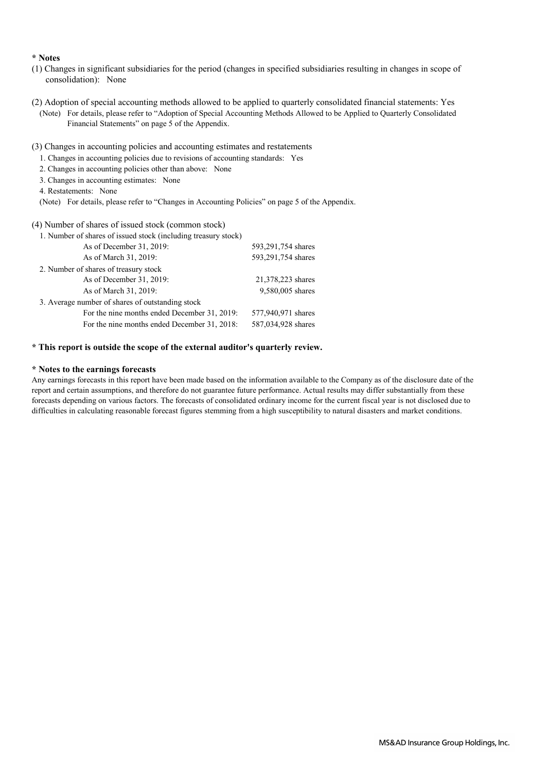#### **\* Notes**

- (1) Changes in significant subsidiaries for the period (changes in specified subsidiaries resulting in changes in scope of consolidation): None
- (2) Adoption of special accounting methods allowed to be applied to quarterly consolidated financial statements: Yes
	- (Note) For details, please refer to "Adoption of Special Accounting Methods Allowed to be Applied to Quarterly Consolidated Financial Statements" on page 5 of the Appendix.
- (3) Changes in accounting policies and accounting estimates and restatements
	- 1. Changes in accounting policies due to revisions of accounting standards: Yes
	- 2. Changes in accounting policies other than above: None
	- 3. Changes in accounting estimates: None
	- 4. Restatements: None
	- (Note) For details, please refer to "Changes in Accounting Policies" on page 5 of the Appendix.

#### (4) Number of shares of issued stock (common stock)

| 1. Number of shares of issued stock (including treasury stock) |                    |  |  |  |  |  |
|----------------------------------------------------------------|--------------------|--|--|--|--|--|
| As of December 31, 2019:                                       | 593,291,754 shares |  |  |  |  |  |
| As of March 31, 2019:                                          | 593,291,754 shares |  |  |  |  |  |
| 2. Number of shares of treasury stock                          |                    |  |  |  |  |  |
| As of December 31, 2019:                                       | 21,378,223 shares  |  |  |  |  |  |
| As of March 31, 2019:                                          | 9,580,005 shares   |  |  |  |  |  |
| 3. Average number of shares of outstanding stock               |                    |  |  |  |  |  |
| For the nine months ended December 31, 2019:                   | 577,940,971 shares |  |  |  |  |  |
| For the nine months ended December 31, 2018:                   | 587,034,928 shares |  |  |  |  |  |

#### **\* This report is outside the scope of the external auditor's quarterly review.**

#### **\* Notes to the earnings forecasts**

Any earnings forecasts in this report have been made based on the information available to the Company as of the disclosure date of the report and certain assumptions, and therefore do not guarantee future performance. Actual results may differ substantially from these forecasts depending on various factors. The forecasts of consolidated ordinary income for the current fiscal year is not disclosed due to difficulties in calculating reasonable forecast figures stemming from a high susceptibility to natural disasters and market conditions.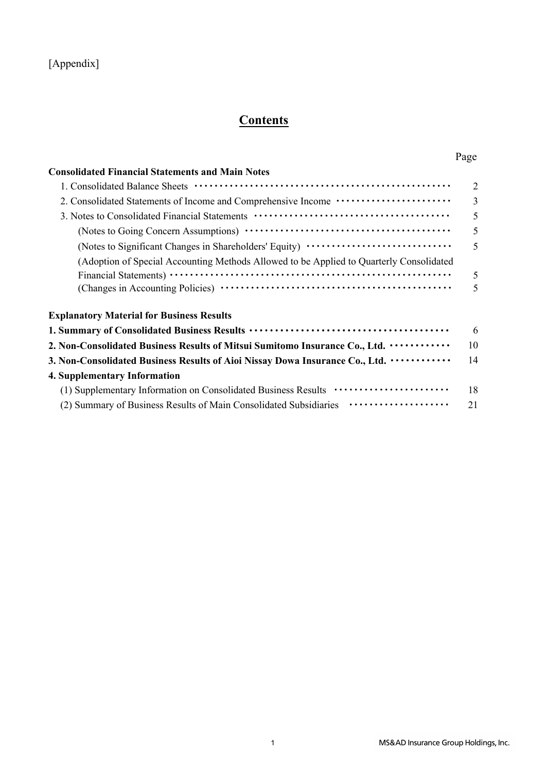# **Contents**

## Page

| <b>Consolidated Financial Statements and Main Notes</b>                                 |                          |
|-----------------------------------------------------------------------------------------|--------------------------|
|                                                                                         | 2                        |
| 2. Consolidated Statements of Income and Comprehensive Income ···················       | 3                        |
|                                                                                         | 5                        |
|                                                                                         | 5                        |
| (Notes to Significant Changes in Shareholders' Equity) ·····························    | 5                        |
| (Adoption of Special Accounting Methods Allowed to be Applied to Quarterly Consolidated |                          |
|                                                                                         | 5                        |
|                                                                                         | $\overline{\mathcal{L}}$ |
| <b>Explanatory Material for Business Results</b>                                        |                          |
|                                                                                         | 6                        |
| 2. Non-Consolidated Business Results of Mitsui Sumitomo Insurance Co., Ltd.             | 10                       |

| 2. Non-Consolidated Business Results of Mitsul Sumitomo Insurance Co., Ltd. •••••••••••••••                   l0 |     |
|------------------------------------------------------------------------------------------------------------------|-----|
| 3. Non-Consolidated Business Results of Aioi Nissay Dowa Insurance Co., Ltd. ••••••••••••••                      | 14  |
| 4. Supplementary Information                                                                                     |     |
|                                                                                                                  | -18 |
| (2) Summary of Business Results of Main Consolidated Subsidiaries ••••••••••••••••••••••••••••••••••             | 21  |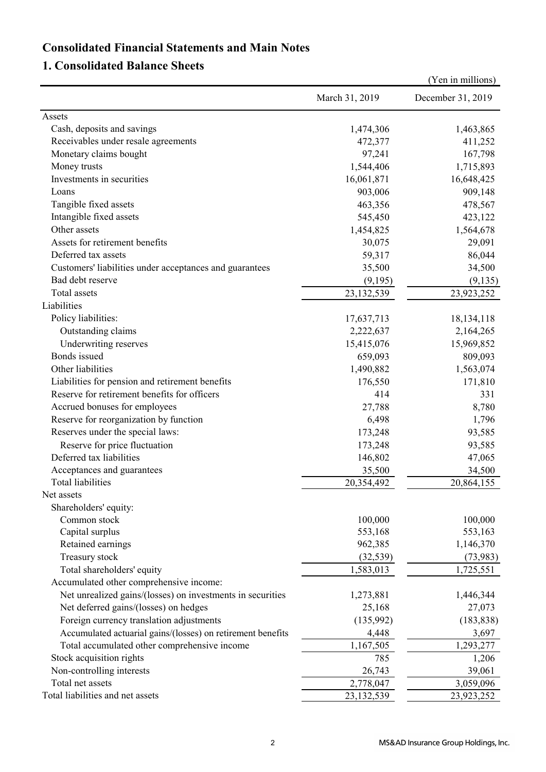## **Consolidated Financial Statements and Main Notes**

## **1. Consolidated Balance Sheets**

|                                                             |                | (Yen in millions) |
|-------------------------------------------------------------|----------------|-------------------|
|                                                             | March 31, 2019 | December 31, 2019 |
| Assets                                                      |                |                   |
| Cash, deposits and savings                                  | 1,474,306      | 1,463,865         |
| Receivables under resale agreements                         | 472,377        | 411,252           |
| Monetary claims bought                                      | 97,241         | 167,798           |
| Money trusts                                                | 1,544,406      | 1,715,893         |
| Investments in securities                                   | 16,061,871     | 16,648,425        |
| Loans                                                       | 903,006        | 909,148           |
| Tangible fixed assets                                       | 463,356        | 478,567           |
| Intangible fixed assets                                     | 545,450        | 423,122           |
| Other assets                                                | 1,454,825      | 1,564,678         |
| Assets for retirement benefits                              | 30,075         | 29,091            |
| Deferred tax assets                                         | 59,317         | 86,044            |
| Customers' liabilities under acceptances and guarantees     | 35,500         | 34,500            |
| Bad debt reserve                                            | (9,195)        | (9, 135)          |
| Total assets                                                | 23,132,539     | 23,923,252        |
| Liabilities                                                 |                |                   |
| Policy liabilities:                                         | 17,637,713     | 18, 134, 118      |
| Outstanding claims                                          | 2,222,637      | 2,164,265         |
| Underwriting reserves                                       | 15,415,076     | 15,969,852        |
| Bonds issued                                                | 659,093        | 809,093           |
| Other liabilities                                           | 1,490,882      | 1,563,074         |
| Liabilities for pension and retirement benefits             | 176,550        | 171,810           |
| Reserve for retirement benefits for officers                | 414            | 331               |
| Accrued bonuses for employees                               | 27,788         | 8,780             |
| Reserve for reorganization by function                      | 6,498          | 1,796             |
| Reserves under the special laws:                            | 173,248        | 93,585            |
| Reserve for price fluctuation                               | 173,248        | 93,585            |
| Deferred tax liabilities                                    | 146,802        | 47,065            |
| Acceptances and guarantees                                  | 35,500         | 34,500            |
| Total liabilities                                           | 20,354,492     | 20,864,155        |
| Net assets                                                  |                |                   |
| Shareholders' equity:                                       |                |                   |
| Common stock                                                | 100,000        | 100,000           |
| Capital surplus                                             | 553,168        | 553,163           |
| Retained earnings                                           | 962,385        | 1,146,370         |
| Treasury stock                                              | (32, 539)      | (73, 983)         |
| Total shareholders' equity                                  | 1,583,013      | 1,725,551         |
| Accumulated other comprehensive income:                     |                |                   |
| Net unrealized gains/(losses) on investments in securities  | 1,273,881      | 1,446,344         |
| Net deferred gains/(losses) on hedges                       | 25,168         | 27,073            |
| Foreign currency translation adjustments                    | (135,992)      | (183, 838)        |
| Accumulated actuarial gains/(losses) on retirement benefits | 4,448          | 3,697             |
| Total accumulated other comprehensive income                | 1,167,505      | 1,293,277         |
| Stock acquisition rights                                    | 785            | 1,206             |
| Non-controlling interests                                   | 26,743         | 39,061            |
| Total net assets                                            | 2,778,047      | 3,059,096         |
| Total liabilities and net assets                            | 23,132,539     | 23,923,252        |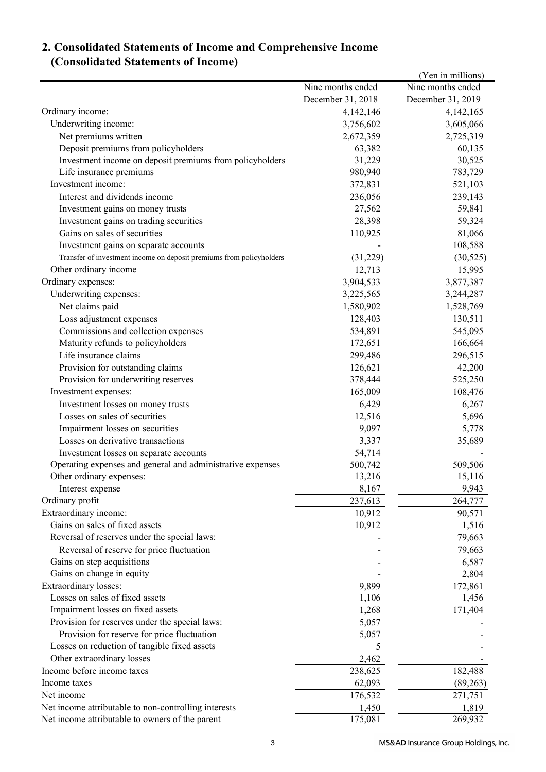## **2. Consolidated Statements of Income and Comprehensive Income (Consolidated Statements of Income)**

|                                                                      |                   | (Yen in millions) |
|----------------------------------------------------------------------|-------------------|-------------------|
|                                                                      | Nine months ended | Nine months ended |
|                                                                      | December 31, 2018 | December 31, 2019 |
| Ordinary income:                                                     | 4,142,146         | 4,142,165         |
| Underwriting income:                                                 | 3,756,602         | 3,605,066         |
| Net premiums written                                                 | 2,672,359         | 2,725,319         |
| Deposit premiums from policyholders                                  | 63,382            | 60,135            |
| Investment income on deposit premiums from policyholders             | 31,229            | 30,525            |
| Life insurance premiums                                              | 980,940           | 783,729           |
| Investment income:                                                   | 372,831           | 521,103           |
| Interest and dividends income                                        | 236,056           | 239,143           |
| Investment gains on money trusts                                     | 27,562            | 59,841            |
| Investment gains on trading securities                               | 28,398            | 59,324            |
| Gains on sales of securities                                         | 110,925           | 81,066            |
| Investment gains on separate accounts                                |                   | 108,588           |
| Transfer of investment income on deposit premiums from policyholders | (31,229)          | (30, 525)         |
| Other ordinary income                                                | 12,713            | 15,995            |
| Ordinary expenses:                                                   | 3,904,533         | 3,877,387         |
| Underwriting expenses:                                               | 3,225,565         | 3,244,287         |
| Net claims paid                                                      | 1,580,902         | 1,528,769         |
| Loss adjustment expenses                                             | 128,403           | 130,511           |
| Commissions and collection expenses                                  | 534,891           | 545,095           |
| Maturity refunds to policyholders                                    | 172,651           | 166,664           |
| Life insurance claims                                                | 299,486           | 296,515           |
| Provision for outstanding claims                                     | 126,621           | 42,200            |
| Provision for underwriting reserves                                  | 378,444           | 525,250           |
| Investment expenses:                                                 | 165,009           | 108,476           |
| Investment losses on money trusts                                    | 6,429             | 6,267             |
| Losses on sales of securities                                        | 12,516            | 5,696             |
| Impairment losses on securities                                      | 9,097             | 5,778             |
| Losses on derivative transactions                                    | 3,337             | 35,689            |
| Investment losses on separate accounts                               | 54,714            |                   |
| Operating expenses and general and administrative expenses           | 500,742           | 509,506           |
| Other ordinary expenses:                                             | 13,216            | 15,116            |
| Interest expense                                                     | 8,167             | 9,943             |
| Ordinary profit                                                      | 237,613           | 264,777           |
| Extraordinary income:                                                | 10,912            | 90,571            |
| Gains on sales of fixed assets                                       | 10,912            | 1,516             |
| Reversal of reserves under the special laws:                         |                   | 79,663            |
| Reversal of reserve for price fluctuation                            |                   | 79,663            |
| Gains on step acquisitions                                           |                   | 6,587             |
| Gains on change in equity                                            |                   | 2,804             |
| Extraordinary losses:                                                | 9,899             | 172,861           |
| Losses on sales of fixed assets                                      | 1,106             | 1,456             |
| Impairment losses on fixed assets                                    | 1,268             | 171,404           |
| Provision for reserves under the special laws:                       | 5,057             |                   |
| Provision for reserve for price fluctuation                          | 5,057             |                   |
| Losses on reduction of tangible fixed assets                         | 5                 |                   |
| Other extraordinary losses                                           | 2,462             |                   |
| Income before income taxes                                           | 238,625           | 182,488           |
| Income taxes                                                         | 62,093            | (89,263)          |
| Net income                                                           | 176,532           | 271,751           |
| Net income attributable to non-controlling interests                 | 1,450             | 1,819             |
| Net income attributable to owners of the parent                      | 175,081           | 269,932           |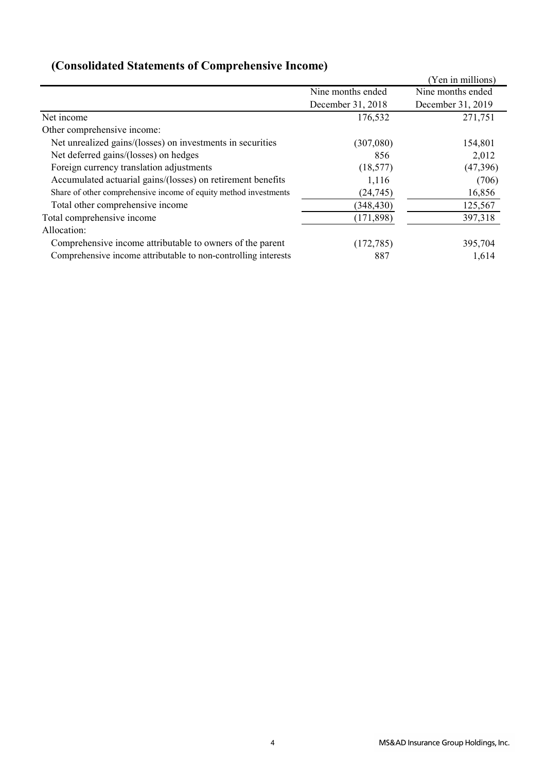|                                                                  |                   | (Yen in millions) |
|------------------------------------------------------------------|-------------------|-------------------|
|                                                                  | Nine months ended | Nine months ended |
|                                                                  | December 31, 2018 | December 31, 2019 |
| Net income                                                       | 176,532           | 271,751           |
| Other comprehensive income:                                      |                   |                   |
| Net unrealized gains/(losses) on investments in securities       | (307,080)         | 154,801           |
| Net deferred gains/(losses) on hedges                            | 856               | 2,012             |
| Foreign currency translation adjustments                         | (18, 577)         | (47,396)          |
| Accumulated actuarial gains/(losses) on retirement benefits      | 1,116             | (706)             |
| Share of other comprehensive income of equity method investments | (24, 745)         | 16,856            |
| Total other comprehensive income                                 | (348, 430)        | 125,567           |
| Total comprehensive income                                       | (171, 898)        | 397,318           |
| Allocation:                                                      |                   |                   |
| Comprehensive income attributable to owners of the parent        | (172, 785)        | 395,704           |
| Comprehensive income attributable to non-controlling interests   | 887               | 1,614             |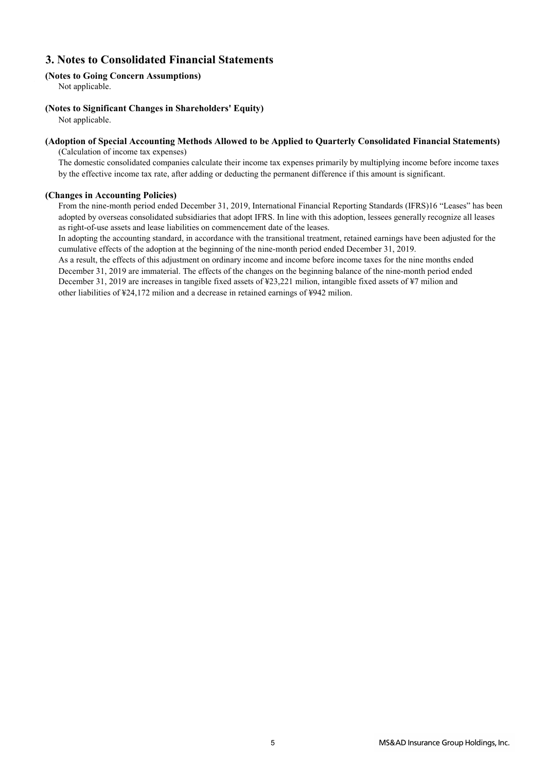## **3. Notes to Consolidated Financial Statements**

### **(Notes to Going Concern Assumptions)**

Not applicable.

### **(Notes to Significant Changes in Shareholders' Equity)**

Not applicable.

#### **(Adoption of Special Accounting Methods Allowed to be Applied to Quarterly Consolidated Financial Statements)** (Calculation of income tax expenses)

The domestic consolidated companies calculate their income tax expenses primarily by multiplying income before income taxes by the effective income tax rate, after adding or deducting the permanent difference if this amount is significant.

#### **(Changes in Accounting Policies)**

From the nine-month period ended December 31, 2019, International Financial Reporting Standards (IFRS)16 "Leases" has been adopted by overseas consolidated subsidiaries that adopt IFRS. In line with this adoption, lessees generally recognize all leases as right-of-use assets and lease liabilities on commencement date of the leases.

In adopting the accounting standard, in accordance with the transitional treatment, retained earnings have been adjusted for the cumulative effects of the adoption at the beginning of the nine-month period ended December 31, 2019.

As a result, the effects of this adjustment on ordinary income and income before income taxes for the nine months ended December 31, 2019 are immaterial. The effects of the changes on the beginning balance of the nine-month period ended December 31, 2019 are increases in tangible fixed assets of ¥23,221 milion, intangible fixed assets of ¥7 milion and other liabilities of ¥24,172 milion and a decrease in retained earnings of ¥942 milion.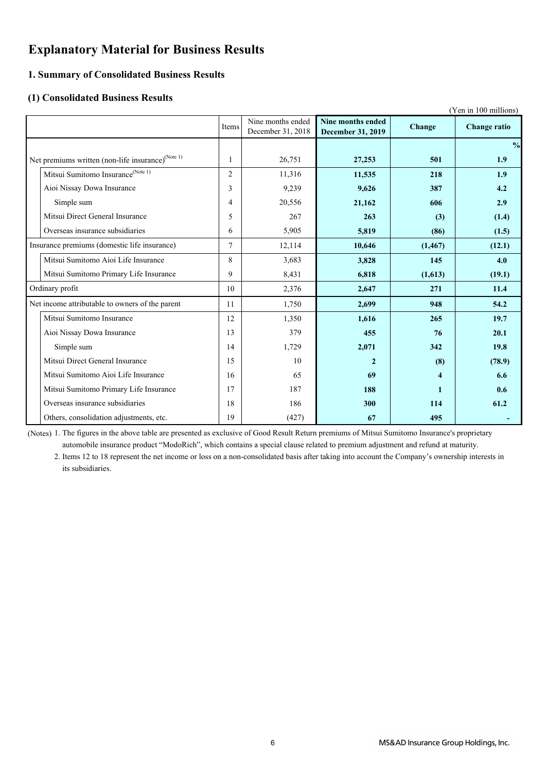## **Explanatory Material for Business Results**

### **1. Summary of Consolidated Business Results**

### **(1) Consolidated Business Results**

|                                                               |                |                                        |                                        |          | (Yen in 100 millions) |
|---------------------------------------------------------------|----------------|----------------------------------------|----------------------------------------|----------|-----------------------|
|                                                               | Items          | Nine months ended<br>December 31, 2018 | Nine months ended<br>December 31, 2019 | Change   | <b>Change ratio</b>   |
|                                                               |                |                                        |                                        |          | $\frac{0}{0}$         |
| Net premiums written (non-life insurance) <sup>(Note 1)</sup> | 1              | 26,751                                 | 27,253                                 | 501      | 1.9                   |
| Mitsui Sumitomo Insurance <sup>(Note 1)</sup>                 | $\overline{2}$ | 11,316                                 | 11,535                                 | 218      | 1.9                   |
| Aioi Nissay Dowa Insurance                                    | 3              | 9,239                                  | 9,626                                  | 387      | 4.2                   |
| Simple sum                                                    | 4              | 20,556                                 | 21,162                                 | 606      | 2.9                   |
| Mitsui Direct General Insurance                               | 5              | 267                                    | 263                                    | (3)      | (1.4)                 |
| Overseas insurance subsidiaries                               | 6              | 5,905                                  | 5,819                                  | (86)     | (1.5)                 |
| Insurance premiums (domestic life insurance)                  | 7              | 12,114                                 | 10,646                                 | (1, 467) | (12.1)                |
| Mitsui Sumitomo Aioi Life Insurance                           | 8              | 3,683                                  | 3,828                                  | 145      | 4.0                   |
| Mitsui Sumitomo Primary Life Insurance                        | 9              | 8,431                                  | 6,818                                  | (1,613)  | (19.1)                |
| Ordinary profit                                               | 10             | 2,376                                  | 2,647                                  | 271      | 11.4                  |
| Net income attributable to owners of the parent               | 11             | 1,750                                  | 2,699                                  | 948      | 54.2                  |
| Mitsui Sumitomo Insurance                                     | 12             | 1,350                                  | 1,616                                  | 265      | 19.7                  |
| Aioi Nissay Dowa Insurance                                    | 13             | 379                                    | 455                                    | 76       | 20.1                  |
| Simple sum                                                    | 14             | 1,729                                  | 2,071                                  | 342      | 19.8                  |
| Mitsui Direct General Insurance                               | 15             | 10                                     | $\mathbf{2}$                           | (8)      | (78.9)                |
| Mitsui Sumitomo Aioi Life Insurance                           | 16             | 65                                     | 69                                     | 4        | 6.6                   |
| Mitsui Sumitomo Primary Life Insurance                        | 17             | 187                                    | 188                                    | 1        | 0.6                   |
| Overseas insurance subsidiaries                               | 18             | 186                                    | 300                                    | 114      | 61.2                  |
| Others, consolidation adjustments, etc.                       | 19             | (427)                                  | 67                                     | 495      |                       |

(Notes) 1. The figures in the above table are presented as exclusive of Good Result Return premiums of Mitsui Sumitomo Insurance's proprietary automobile insurance product "ModoRich", which contains a special clause related to premium adjustment and refund at maturity.

2. Items 12 to 18 represent the net income or loss on a non-consolidated basis after taking into account the Company's ownership interests in its subsidiaries.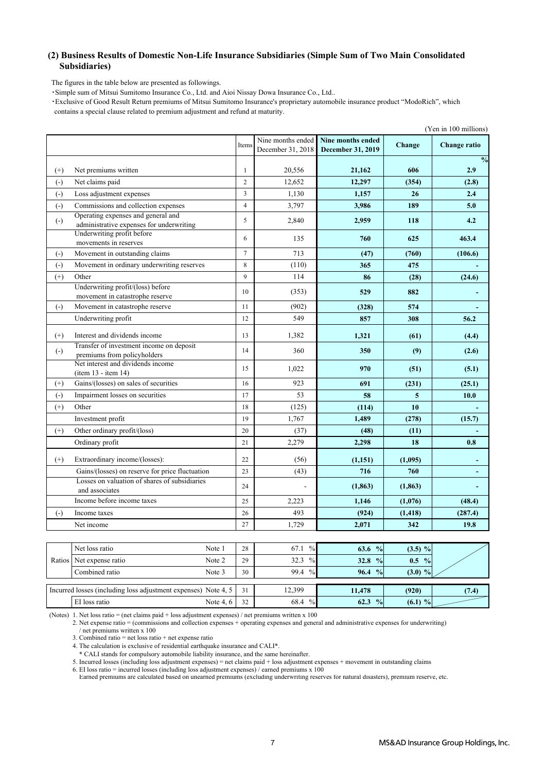#### **(2) Business Results of Domestic Non-Life Insurance Subsidiaries (Simple Sum of Two Main Consolidated Subsidiaries)**

The figures in the table below are presented as followings.

・Simple sum of Mitsui Sumitomo Insurance Co., Ltd. and Aioi Nissay Dowa Insurance Co., Ltd..

 ・Exclusive of Good Result Return premiums of Mitsui Sumitomo Insurance's proprietary automobile insurance product "ModoRich", which contains a special clause related to premium adjustment and refund at maturity.

| Nine months ended<br>Nine months ended<br>Change<br>Change ratio<br>Items<br>December 31, 2018<br>December 31, 2019<br>$\frac{0}{0}$<br>Net premiums written<br>20,556<br>21,162<br>$^{(+)}$<br>1<br>606<br>2.9<br>Net claims paid<br>$\overline{2}$<br>12,652<br>$\left( \cdot \right)$<br>12,297<br>(354)<br>(2.8)<br>Loss adjustment expenses<br>3<br>1,130<br>$\left( \cdot \right)$<br>1,157<br>26<br>2.4<br>Commissions and collection expenses<br>3,797<br>$\left( -\right)$<br>$\overline{4}$<br>189<br>5.0<br>3,986<br>Operating expenses and general and<br>$\left( \cdot \right)$<br>5<br>2,840<br>2,959<br>4.2<br>118<br>administrative expenses for underwriting<br>Underwriting profit before<br>6<br>625<br>463.4<br>135<br>760<br>movements in reserves<br>Movement in outstanding claims<br>$\overline{7}$<br>713<br>$\left( \cdot \right)$<br>(47)<br>(760)<br>(106.6)<br>Movement in ordinary underwriting reserves<br>$\left( \cdot \right)$<br>8<br>(110)<br>365<br>475<br>$\mathbf{Q}$<br>$^{(+)}$<br>Other<br>114<br>86<br>(28)<br>(24.6)<br>Underwriting profit/(loss) before<br>10<br>(353)<br>529<br>882<br>movement in catastrophe reserve<br>Movement in catastrophe reserve<br>$\left( \cdot \right)$<br>11<br>(902)<br>574<br>(328)<br>Underwriting profit<br>12<br>549<br>857<br>308<br>56.2<br>13<br>1,382<br>1,321<br>$(+)$<br>Interest and dividends income<br>(61)<br>(4.4)<br>Transfer of investment income on deposit<br>$(\cdot)$<br>14<br>360<br>350<br>(9)<br>(2.6)<br>premiums from policyholders<br>Net interest and dividends income<br>1,022<br>970<br>15<br>(51)<br>(5.1)<br>(item 13 - item 14)<br>Gains/(losses) on sales of securities<br>$(+)$<br>16<br>923<br>691<br>(231)<br>(25.1)<br>Impairment losses on securities<br>53<br>$(-)$<br>17<br>10.0<br>58<br>5<br>$(+)$<br>Other<br>18<br>(125)<br>10<br>(114)<br>19<br>1,767<br>1,489<br>(278)<br>Investment profit<br>(15.7)<br>Other ordinary profit/(loss)<br>$^{(+)}$<br>20<br>(37)<br>(48)<br>(11)<br>Ordinary profit<br>2,279<br>21<br>2,298<br>18<br>0.8<br>$^{(+)}$<br>Extraordinary income/(losses):<br>22<br>(56)<br>(1,151)<br>(1,095)<br>Gains/(losses) on reserve for price fluctuation<br>23<br>(43)<br>716<br>760<br>Losses on valuation of shares of subsidiaries<br>24<br>(1, 863)<br>(1, 863)<br>and associates<br>Income before income taxes<br>25<br>2,223<br>1,146<br>(1,076)<br>(48.4)<br>493<br>$\left( \cdot \right)$<br>Income taxes<br>26<br>(924)<br>(1, 418)<br>(287.4)<br>27<br>2,071<br>19.8<br>1,729<br>342<br>Net income |  |  |  | (Yen in 100 millions) |
|--------------------------------------------------------------------------------------------------------------------------------------------------------------------------------------------------------------------------------------------------------------------------------------------------------------------------------------------------------------------------------------------------------------------------------------------------------------------------------------------------------------------------------------------------------------------------------------------------------------------------------------------------------------------------------------------------------------------------------------------------------------------------------------------------------------------------------------------------------------------------------------------------------------------------------------------------------------------------------------------------------------------------------------------------------------------------------------------------------------------------------------------------------------------------------------------------------------------------------------------------------------------------------------------------------------------------------------------------------------------------------------------------------------------------------------------------------------------------------------------------------------------------------------------------------------------------------------------------------------------------------------------------------------------------------------------------------------------------------------------------------------------------------------------------------------------------------------------------------------------------------------------------------------------------------------------------------------------------------------------------------------------------------------------------------------------------------------------------------------------------------------------------------------------------------------------------------------------------------------------------------------------------------------------------------------------------------------------------------------------------------------------------------------------------------------------------------------------------------------------------------------------------------------------------------------|--|--|--|-----------------------|
|                                                                                                                                                                                                                                                                                                                                                                                                                                                                                                                                                                                                                                                                                                                                                                                                                                                                                                                                                                                                                                                                                                                                                                                                                                                                                                                                                                                                                                                                                                                                                                                                                                                                                                                                                                                                                                                                                                                                                                                                                                                                                                                                                                                                                                                                                                                                                                                                                                                                                                                                                              |  |  |  |                       |
|                                                                                                                                                                                                                                                                                                                                                                                                                                                                                                                                                                                                                                                                                                                                                                                                                                                                                                                                                                                                                                                                                                                                                                                                                                                                                                                                                                                                                                                                                                                                                                                                                                                                                                                                                                                                                                                                                                                                                                                                                                                                                                                                                                                                                                                                                                                                                                                                                                                                                                                                                              |  |  |  |                       |
|                                                                                                                                                                                                                                                                                                                                                                                                                                                                                                                                                                                                                                                                                                                                                                                                                                                                                                                                                                                                                                                                                                                                                                                                                                                                                                                                                                                                                                                                                                                                                                                                                                                                                                                                                                                                                                                                                                                                                                                                                                                                                                                                                                                                                                                                                                                                                                                                                                                                                                                                                              |  |  |  |                       |
|                                                                                                                                                                                                                                                                                                                                                                                                                                                                                                                                                                                                                                                                                                                                                                                                                                                                                                                                                                                                                                                                                                                                                                                                                                                                                                                                                                                                                                                                                                                                                                                                                                                                                                                                                                                                                                                                                                                                                                                                                                                                                                                                                                                                                                                                                                                                                                                                                                                                                                                                                              |  |  |  |                       |
|                                                                                                                                                                                                                                                                                                                                                                                                                                                                                                                                                                                                                                                                                                                                                                                                                                                                                                                                                                                                                                                                                                                                                                                                                                                                                                                                                                                                                                                                                                                                                                                                                                                                                                                                                                                                                                                                                                                                                                                                                                                                                                                                                                                                                                                                                                                                                                                                                                                                                                                                                              |  |  |  |                       |
|                                                                                                                                                                                                                                                                                                                                                                                                                                                                                                                                                                                                                                                                                                                                                                                                                                                                                                                                                                                                                                                                                                                                                                                                                                                                                                                                                                                                                                                                                                                                                                                                                                                                                                                                                                                                                                                                                                                                                                                                                                                                                                                                                                                                                                                                                                                                                                                                                                                                                                                                                              |  |  |  |                       |
|                                                                                                                                                                                                                                                                                                                                                                                                                                                                                                                                                                                                                                                                                                                                                                                                                                                                                                                                                                                                                                                                                                                                                                                                                                                                                                                                                                                                                                                                                                                                                                                                                                                                                                                                                                                                                                                                                                                                                                                                                                                                                                                                                                                                                                                                                                                                                                                                                                                                                                                                                              |  |  |  |                       |
|                                                                                                                                                                                                                                                                                                                                                                                                                                                                                                                                                                                                                                                                                                                                                                                                                                                                                                                                                                                                                                                                                                                                                                                                                                                                                                                                                                                                                                                                                                                                                                                                                                                                                                                                                                                                                                                                                                                                                                                                                                                                                                                                                                                                                                                                                                                                                                                                                                                                                                                                                              |  |  |  |                       |
|                                                                                                                                                                                                                                                                                                                                                                                                                                                                                                                                                                                                                                                                                                                                                                                                                                                                                                                                                                                                                                                                                                                                                                                                                                                                                                                                                                                                                                                                                                                                                                                                                                                                                                                                                                                                                                                                                                                                                                                                                                                                                                                                                                                                                                                                                                                                                                                                                                                                                                                                                              |  |  |  |                       |
|                                                                                                                                                                                                                                                                                                                                                                                                                                                                                                                                                                                                                                                                                                                                                                                                                                                                                                                                                                                                                                                                                                                                                                                                                                                                                                                                                                                                                                                                                                                                                                                                                                                                                                                                                                                                                                                                                                                                                                                                                                                                                                                                                                                                                                                                                                                                                                                                                                                                                                                                                              |  |  |  |                       |
|                                                                                                                                                                                                                                                                                                                                                                                                                                                                                                                                                                                                                                                                                                                                                                                                                                                                                                                                                                                                                                                                                                                                                                                                                                                                                                                                                                                                                                                                                                                                                                                                                                                                                                                                                                                                                                                                                                                                                                                                                                                                                                                                                                                                                                                                                                                                                                                                                                                                                                                                                              |  |  |  |                       |
|                                                                                                                                                                                                                                                                                                                                                                                                                                                                                                                                                                                                                                                                                                                                                                                                                                                                                                                                                                                                                                                                                                                                                                                                                                                                                                                                                                                                                                                                                                                                                                                                                                                                                                                                                                                                                                                                                                                                                                                                                                                                                                                                                                                                                                                                                                                                                                                                                                                                                                                                                              |  |  |  |                       |
|                                                                                                                                                                                                                                                                                                                                                                                                                                                                                                                                                                                                                                                                                                                                                                                                                                                                                                                                                                                                                                                                                                                                                                                                                                                                                                                                                                                                                                                                                                                                                                                                                                                                                                                                                                                                                                                                                                                                                                                                                                                                                                                                                                                                                                                                                                                                                                                                                                                                                                                                                              |  |  |  |                       |
|                                                                                                                                                                                                                                                                                                                                                                                                                                                                                                                                                                                                                                                                                                                                                                                                                                                                                                                                                                                                                                                                                                                                                                                                                                                                                                                                                                                                                                                                                                                                                                                                                                                                                                                                                                                                                                                                                                                                                                                                                                                                                                                                                                                                                                                                                                                                                                                                                                                                                                                                                              |  |  |  |                       |
|                                                                                                                                                                                                                                                                                                                                                                                                                                                                                                                                                                                                                                                                                                                                                                                                                                                                                                                                                                                                                                                                                                                                                                                                                                                                                                                                                                                                                                                                                                                                                                                                                                                                                                                                                                                                                                                                                                                                                                                                                                                                                                                                                                                                                                                                                                                                                                                                                                                                                                                                                              |  |  |  |                       |
|                                                                                                                                                                                                                                                                                                                                                                                                                                                                                                                                                                                                                                                                                                                                                                                                                                                                                                                                                                                                                                                                                                                                                                                                                                                                                                                                                                                                                                                                                                                                                                                                                                                                                                                                                                                                                                                                                                                                                                                                                                                                                                                                                                                                                                                                                                                                                                                                                                                                                                                                                              |  |  |  |                       |
|                                                                                                                                                                                                                                                                                                                                                                                                                                                                                                                                                                                                                                                                                                                                                                                                                                                                                                                                                                                                                                                                                                                                                                                                                                                                                                                                                                                                                                                                                                                                                                                                                                                                                                                                                                                                                                                                                                                                                                                                                                                                                                                                                                                                                                                                                                                                                                                                                                                                                                                                                              |  |  |  |                       |
|                                                                                                                                                                                                                                                                                                                                                                                                                                                                                                                                                                                                                                                                                                                                                                                                                                                                                                                                                                                                                                                                                                                                                                                                                                                                                                                                                                                                                                                                                                                                                                                                                                                                                                                                                                                                                                                                                                                                                                                                                                                                                                                                                                                                                                                                                                                                                                                                                                                                                                                                                              |  |  |  |                       |
|                                                                                                                                                                                                                                                                                                                                                                                                                                                                                                                                                                                                                                                                                                                                                                                                                                                                                                                                                                                                                                                                                                                                                                                                                                                                                                                                                                                                                                                                                                                                                                                                                                                                                                                                                                                                                                                                                                                                                                                                                                                                                                                                                                                                                                                                                                                                                                                                                                                                                                                                                              |  |  |  |                       |
|                                                                                                                                                                                                                                                                                                                                                                                                                                                                                                                                                                                                                                                                                                                                                                                                                                                                                                                                                                                                                                                                                                                                                                                                                                                                                                                                                                                                                                                                                                                                                                                                                                                                                                                                                                                                                                                                                                                                                                                                                                                                                                                                                                                                                                                                                                                                                                                                                                                                                                                                                              |  |  |  |                       |
|                                                                                                                                                                                                                                                                                                                                                                                                                                                                                                                                                                                                                                                                                                                                                                                                                                                                                                                                                                                                                                                                                                                                                                                                                                                                                                                                                                                                                                                                                                                                                                                                                                                                                                                                                                                                                                                                                                                                                                                                                                                                                                                                                                                                                                                                                                                                                                                                                                                                                                                                                              |  |  |  |                       |
|                                                                                                                                                                                                                                                                                                                                                                                                                                                                                                                                                                                                                                                                                                                                                                                                                                                                                                                                                                                                                                                                                                                                                                                                                                                                                                                                                                                                                                                                                                                                                                                                                                                                                                                                                                                                                                                                                                                                                                                                                                                                                                                                                                                                                                                                                                                                                                                                                                                                                                                                                              |  |  |  |                       |
|                                                                                                                                                                                                                                                                                                                                                                                                                                                                                                                                                                                                                                                                                                                                                                                                                                                                                                                                                                                                                                                                                                                                                                                                                                                                                                                                                                                                                                                                                                                                                                                                                                                                                                                                                                                                                                                                                                                                                                                                                                                                                                                                                                                                                                                                                                                                                                                                                                                                                                                                                              |  |  |  |                       |
|                                                                                                                                                                                                                                                                                                                                                                                                                                                                                                                                                                                                                                                                                                                                                                                                                                                                                                                                                                                                                                                                                                                                                                                                                                                                                                                                                                                                                                                                                                                                                                                                                                                                                                                                                                                                                                                                                                                                                                                                                                                                                                                                                                                                                                                                                                                                                                                                                                                                                                                                                              |  |  |  |                       |
|                                                                                                                                                                                                                                                                                                                                                                                                                                                                                                                                                                                                                                                                                                                                                                                                                                                                                                                                                                                                                                                                                                                                                                                                                                                                                                                                                                                                                                                                                                                                                                                                                                                                                                                                                                                                                                                                                                                                                                                                                                                                                                                                                                                                                                                                                                                                                                                                                                                                                                                                                              |  |  |  |                       |
|                                                                                                                                                                                                                                                                                                                                                                                                                                                                                                                                                                                                                                                                                                                                                                                                                                                                                                                                                                                                                                                                                                                                                                                                                                                                                                                                                                                                                                                                                                                                                                                                                                                                                                                                                                                                                                                                                                                                                                                                                                                                                                                                                                                                                                                                                                                                                                                                                                                                                                                                                              |  |  |  |                       |
|                                                                                                                                                                                                                                                                                                                                                                                                                                                                                                                                                                                                                                                                                                                                                                                                                                                                                                                                                                                                                                                                                                                                                                                                                                                                                                                                                                                                                                                                                                                                                                                                                                                                                                                                                                                                                                                                                                                                                                                                                                                                                                                                                                                                                                                                                                                                                                                                                                                                                                                                                              |  |  |  |                       |
|                                                                                                                                                                                                                                                                                                                                                                                                                                                                                                                                                                                                                                                                                                                                                                                                                                                                                                                                                                                                                                                                                                                                                                                                                                                                                                                                                                                                                                                                                                                                                                                                                                                                                                                                                                                                                                                                                                                                                                                                                                                                                                                                                                                                                                                                                                                                                                                                                                                                                                                                                              |  |  |  |                       |

|  | Net loss ratio                                                 | Note 1           | 28 | $\frac{0}{0}$<br>67.1 | 63.6 $%$              | $(3.5) \%$           |       |
|--|----------------------------------------------------------------|------------------|----|-----------------------|-----------------------|----------------------|-------|
|  | Ratios Net expense ratio                                       | Note 2           | 29 | $\frac{0}{0}$<br>32.3 | 32.8 $%$              | $\frac{0}{0}$<br>0.5 |       |
|  | Combined ratio                                                 | Note 3           | 30 | 99.4 %                | $96.4\frac{9}{6}$     | $(3.0)$ %            |       |
|  |                                                                |                  |    |                       |                       |                      |       |
|  | Incurred losses (including loss adjustment expenses) Note 4, 5 |                  | 31 | 12.399                | 11,478                | (920)                | (7.4) |
|  | EI loss ratio                                                  | Note 4, $6 \mid$ | 32 | $\frac{0}{0}$<br>68.4 | 62.3<br>$\frac{0}{0}$ | $(6.1)$ %            |       |

(Notes) 1. Net loss ratio = (net claims paid + loss adjustment expenses) / net premiums written x 100

2. Net expense ratio = (commissions and collection expenses + operating expenses and general and administrative expenses for underwriting) / net premiums written x 100

3. Combined ratio = net loss ratio + net expense ratio

4. The calculation is exclusive of residential earthquake insurance and CALI\*.

\* CALI stands for compulsory automobile liability insurance, and the same hereinafter.

5. Incurred losses (including loss adjustment expenses) = net claims paid + loss adjustment expenses + movement in outstanding claims

6. EI loss ratio = incurred losses (including loss adjustment expenses) / earned premiums x 100

Earned premiums are calculated based on unearned premiums (excluding underwriting reserves for natural disasters), premium reserve, etc.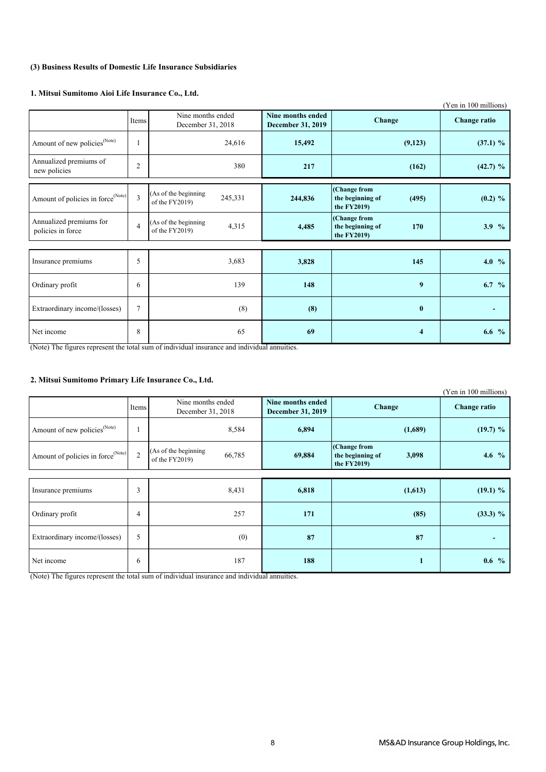### **(3) Business Results of Domestic Life Insurance Subsidiaries**

#### **1. Mitsui Sumitomo Aioi Life Insurance Co., Ltd.**

|                                               |                |                                                   |                                               |                                                           | (Yen in 100 millions) |
|-----------------------------------------------|----------------|---------------------------------------------------|-----------------------------------------------|-----------------------------------------------------------|-----------------------|
|                                               | Items          | Nine months ended<br>December 31, 2018            | Nine months ended<br><b>December 31, 2019</b> | Change                                                    | <b>Change ratio</b>   |
| Amount of new policies <sup>(Note)</sup>      | H              | 24,616                                            | 15,492                                        | (9,123)                                                   | $(37.1)$ %            |
| Annualized premiums of<br>new policies        | $\overline{c}$ | 380                                               | 217                                           | (162)                                                     | (42.7) %              |
| Amount of policies in force <sup>(Note)</sup> | 3              | (As of the beginning<br>245,331<br>of the FY2019) | 244,836                                       | (Change from<br>the beginning of<br>(495)<br>the $FY2019$ | $(0.2) \%$            |
| Annualized premiums for<br>policies in force  | $\overline{4}$ | (As of the beginning<br>4,315<br>of the FY2019)   | 4,485                                         | (Change from<br>the beginning of<br>170<br>the $FY2019$   | 3.9%                  |
|                                               |                |                                                   |                                               |                                                           |                       |
| Insurance premiums                            | 5              | 3,683                                             | 3,828                                         | 145                                                       | 4.0 $%$               |
| Ordinary profit                               | 6              | 139                                               | 148                                           | 9                                                         | $6.7\%$               |
| Extraordinary income/(losses)                 | $\tau$         | (8)                                               | (8)                                           | $\bf{0}$                                                  |                       |
| Net income                                    | 8              | 65                                                | 69                                            | $\overline{\mathbf{4}}$                                   | 6.6 $%$               |

(Note) The figures represent the total sum of individual insurance and individual annuities.

### **2. Mitsui Sumitomo Primary Life Insurance Co., Ltd.**

|                                               |                |                                                  |                                               |                                                           | (Yen in 100 millions) |
|-----------------------------------------------|----------------|--------------------------------------------------|-----------------------------------------------|-----------------------------------------------------------|-----------------------|
|                                               | Items          | Nine months ended<br>December 31, 2018           | Nine months ended<br><b>December 31, 2019</b> | <b>Change</b>                                             | <b>Change ratio</b>   |
| Amount of new policies <sup>(Note)</sup>      |                | 8,584                                            | 6,894                                         | (1,689)                                                   | (19.7) %              |
| Amount of policies in force <sup>(Note)</sup> | $\overline{2}$ | (As of the beginning<br>66,785<br>of the FY2019) | 69,884                                        | (Change from<br>the beginning of<br>3,098<br>the $FY2019$ | 4.6 $%$               |
|                                               |                |                                                  |                                               |                                                           |                       |
| Insurance premiums                            | 3              | 8,431                                            | 6,818                                         | (1,613)                                                   | $(19.1)$ %            |
| Ordinary profit                               | 4              | 257                                              | 171                                           | (85)                                                      | $(33.3) \%$           |
| Extraordinary income/(losses)                 | 5              | (0)                                              | 87                                            | 87                                                        |                       |
| Net income                                    | 6              | 187                                              | 188                                           |                                                           | $0.6\%$               |

(Note) The figures represent the total sum of individual insurance and individual annuities.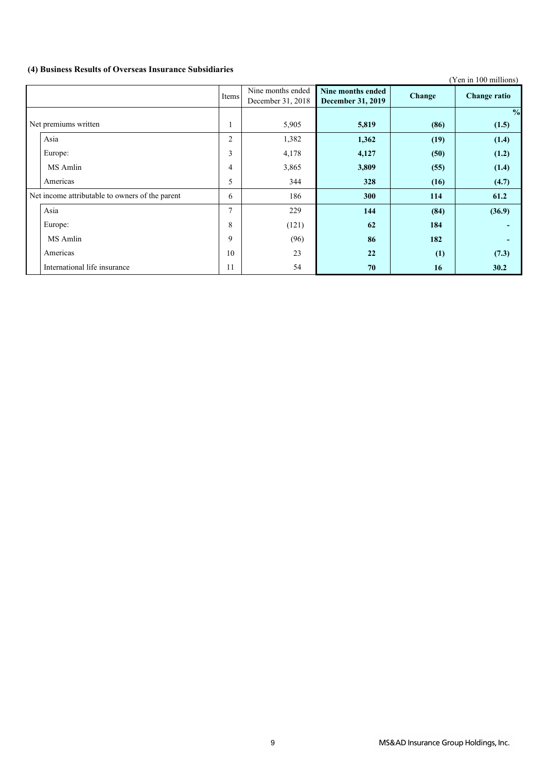## **(4) Business Results of Overseas Insurance Subsidiaries**

|                                                 |       |                                        |                                               |        | (Yen in 100 millions) |
|-------------------------------------------------|-------|----------------------------------------|-----------------------------------------------|--------|-----------------------|
|                                                 | Items | Nine months ended<br>December 31, 2018 | Nine months ended<br><b>December 31, 2019</b> | Change | <b>Change ratio</b>   |
|                                                 |       |                                        |                                               |        | $\frac{0}{0}$         |
| Net premiums written                            | 1     | 5,905                                  | 5,819                                         | (86)   | (1.5)                 |
| Asia                                            | 2     | 1,382                                  | 1,362                                         | (19)   | (1.4)                 |
| Europe:                                         | 3     | 4,178                                  | 4,127                                         | (50)   | (1.2)                 |
| MS Amlin                                        | 4     | 3,865                                  | 3,809                                         | (55)   | (1.4)                 |
| Americas                                        | 5     | 344                                    | 328                                           | (16)   | (4.7)                 |
| Net income attributable to owners of the parent | 6     | 186                                    | 300                                           | 114    | 61.2                  |
| Asia                                            | 7     | 229                                    | 144                                           | (84)   | (36.9)                |
| Europe:                                         | 8     | (121)                                  | 62                                            | 184    |                       |
| MS Amlin                                        | 9     | (96)                                   | 86                                            | 182    |                       |
| Americas                                        | 10    | 23                                     | 22                                            | (1)    | (7.3)                 |
| International life insurance                    | 11    | 54                                     | 70                                            | 16     | 30.2                  |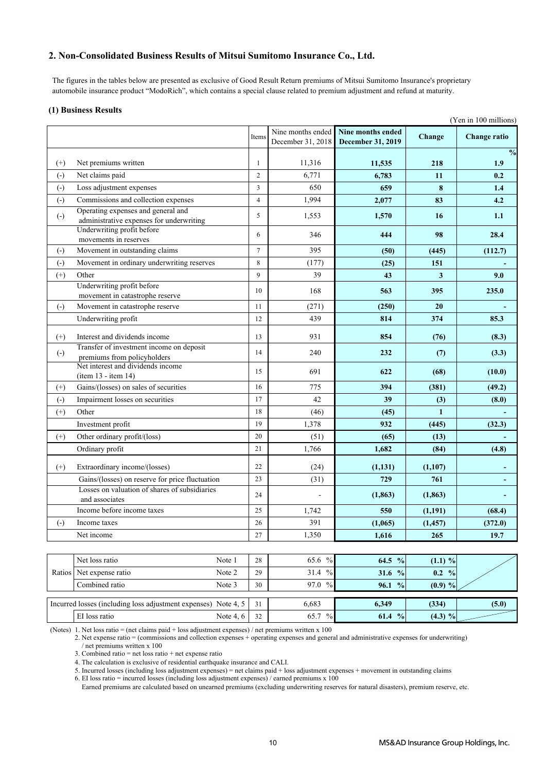### **2. Non-Consolidated Business Results of Mitsui Sumitomo Insurance Co., Ltd.**

 The figures in the tables below are presented as exclusive of Good Result Return premiums of Mitsui Sumitomo Insurance's proprietary automobile insurance product "ModoRich", which contains a special clause related to premium adjustment and refund at maturity.

#### **(1) Business Results**

|                        |                                                                                         |                |                                        | (Yen in 100 millions)                  |                   |                              |  |
|------------------------|-----------------------------------------------------------------------------------------|----------------|----------------------------------------|----------------------------------------|-------------------|------------------------------|--|
|                        |                                                                                         | Items          | Nine months ended<br>December 31, 2018 | Nine months ended<br>December 31, 2019 | Change            | <b>Change ratio</b>          |  |
| $^{(+)}$               | Net premiums written                                                                    | $\mathbf{1}$   | 11,316                                 | 11,535                                 | 218               | $\frac{0}{2}$<br>1.9         |  |
| $\left( -\right)$      | Net claims paid                                                                         | $\overline{c}$ | 6,771                                  | 6,783                                  | 11                | 0.2                          |  |
| $(-)$                  | Loss adjustment expenses                                                                | 3              | 650                                    | 659                                    | 8                 | 1.4                          |  |
| $\left( -\right)$      | Commissions and collection expenses                                                     | $\overline{4}$ | 1,994                                  | 2,077                                  | 83                | 4.2                          |  |
|                        | Operating expenses and general and                                                      |                |                                        |                                        |                   |                              |  |
| $\left( -\right)$      | administrative expenses for underwriting                                                | 5              | 1,553                                  | 1,570                                  | 16                | 1.1                          |  |
|                        | Underwriting profit before                                                              | 6              | 346                                    | 444                                    | 98                | 28.4                         |  |
|                        | movements in reserves                                                                   |                | 395                                    |                                        |                   |                              |  |
| $\left( -\right)$      | Movement in outstanding claims                                                          | $\tau$<br>8    |                                        | (50)                                   | (445)             | (112.7)                      |  |
| $\left( \cdot \right)$ | Movement in ordinary underwriting reserves                                              | $\mathbf{Q}$   | (177)<br>39                            | (25)                                   | 151               |                              |  |
| $^{(+)}$               | Other<br>Underwriting profit before                                                     |                |                                        | 43                                     | 3                 | 9.0                          |  |
|                        | movement in catastrophe reserve                                                         | 10             | 168                                    | 563                                    | 395               | 235.0                        |  |
| $\left( -\right)$      | Movement in catastrophe reserve                                                         | 11             | (271)                                  | (250)                                  | 20                |                              |  |
|                        | Underwriting profit                                                                     | 12             | 439                                    | 814                                    | 374               | 85.3                         |  |
| $^{(+)}$               | Interest and dividends income                                                           | 13             | 931                                    | 854                                    | (76)              | (8.3)                        |  |
| $\left( -\right)$      | Transfer of investment income on deposit                                                | 14             | 240                                    | 232                                    | (7)               | (3.3)                        |  |
|                        | premiums from policyholders<br>Net interest and dividends income<br>(item 13 - item 14) | 15             | 691                                    | 622                                    | (68)              | (10.0)                       |  |
| $^{(+)}$               | Gains/(losses) on sales of securities                                                   | 16             | 775                                    | 394                                    | (381)             | (49.2)                       |  |
| $\left( \cdot \right)$ | Impairment losses on securities                                                         | 17             | 42                                     | 39                                     | (3)               | (8.0)                        |  |
| $^{(+)}$               | Other                                                                                   | 18             | (46)                                   | (45)                                   | $\mathbf{1}$      |                              |  |
|                        | Investment profit                                                                       | 19             | 1,378                                  | 932                                    | (445)             | (32.3)                       |  |
| $(+)$                  | Other ordinary profit/(loss)                                                            | 20             | (51)                                   | (65)                                   | (13)              |                              |  |
|                        | Ordinary profit                                                                         | 21             | 1,766                                  | 1,682                                  | (84)              | (4.8)                        |  |
| $(+)$                  | Extraordinary income/(losses)                                                           | 22             | (24)                                   | (1, 131)                               | (1,107)           |                              |  |
|                        | Gains/(losses) on reserve for price fluctuation                                         | 23             | (31)                                   | 729                                    | 761               |                              |  |
|                        | Losses on valuation of shares of subsidiaries                                           |                |                                        |                                        |                   |                              |  |
|                        | and associates                                                                          | 24             |                                        | (1, 863)                               | (1, 863)          | $\qquad \qquad \blacksquare$ |  |
|                        | Income before income taxes                                                              | 25             | 1,742                                  | 550                                    | (1,191)           | (68.4)                       |  |
| $\left( \cdot \right)$ | Income taxes                                                                            | 26             | 391                                    | (1,065)                                | (1, 457)          | (372.0)                      |  |
|                        | Net income                                                                              | 27             | 1,350                                  | 1,616                                  | 265               | 19.7                         |  |
|                        |                                                                                         |                |                                        |                                        |                   |                              |  |
|                        | Net loss ratio<br>Note 1                                                                | 28             | 65.6 %                                 | 64.5 %                                 | $(1.1) \%$        |                              |  |
| Ratios                 | Net expense ratio<br>Note 2                                                             | 29             | 31.4 %                                 | 31.6 $%$                               | $0.2 \frac{9}{6}$ |                              |  |
|                        | Combined ratio<br>Note 3                                                                | 30             | 97.0 %                                 | 96.1 %                                 | $(0.9) \%$        |                              |  |
|                        | Incurred losses (including loss adjustment expenses) Note 4, 5                          | 31             | 6,683                                  | 6,349                                  | (334)             | (5.0)                        |  |

(Notes) 1. Net loss ratio = (net claims paid + loss adjustment expenses) / net premiums written x 100

2. Net expense ratio = (commissions and collection expenses + operating expenses and general and administrative expenses for underwriting) / net premiums written x 100

EI loss ratio Note 4, 6 32 65.7 % **61.4 % (4.3)** %

3. Combined ratio = net loss ratio + net expense ratio

4. The calculation is exclusive of residential earthquake insurance and CALI.

5. Incurred losses (including loss adjustment expenses) = net claims paid + loss adjustment expenses + movement in outstanding claims

6. EI loss ratio = incurred losses (including loss adjustment expenses) / earned premiums x 100

Earned premiums are calculated based on unearned premiums (excluding underwriting reserves for natural disasters), premium reserve, etc.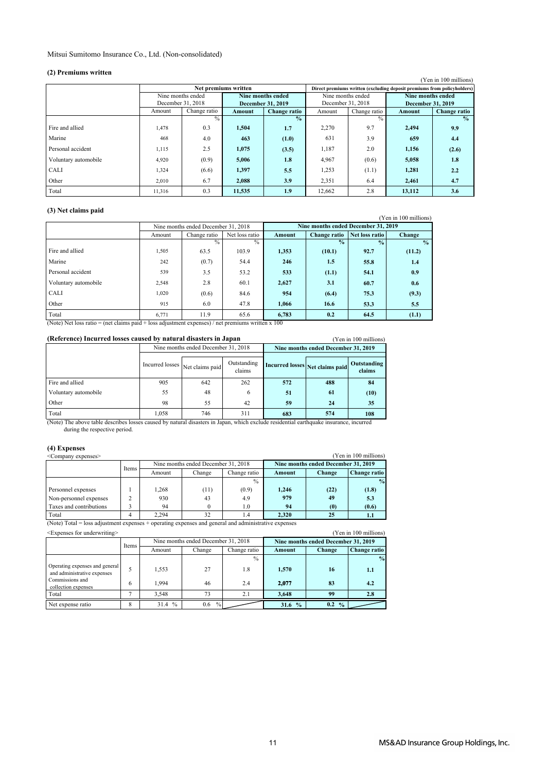#### Mitsui Sumitomo Insurance Co., Ltd. (Non-consolidated)

#### **(2) Premiums written**

| (4) FICHRUMS WIRTH<br>(Yen in 100 millions)                             |                   |              |                      |                   |                   |               |                   |               |  |  |  |  |
|-------------------------------------------------------------------------|-------------------|--------------|----------------------|-------------------|-------------------|---------------|-------------------|---------------|--|--|--|--|
| Direct premiums written (excluding deposit premiums from policyholders) |                   |              |                      |                   |                   |               |                   |               |  |  |  |  |
|                                                                         |                   |              | Net premiums written |                   |                   |               |                   |               |  |  |  |  |
|                                                                         | Nine months ended |              |                      | Nine months ended | Nine months ended |               | Nine months ended |               |  |  |  |  |
|                                                                         | December 31, 2018 |              |                      | December 31, 2019 | December 31, 2018 |               | December 31, 2019 |               |  |  |  |  |
|                                                                         | Amount            | Change ratio | Amount               | Change ratio      | Amount            | Change ratio  | Amount            | Change ratio  |  |  |  |  |
|                                                                         |                   | $\%$         |                      | $\frac{0}{2}$     |                   | $\frac{0}{0}$ |                   | $\frac{0}{2}$ |  |  |  |  |
| Fire and allied                                                         | 1,478             | 0.3          | 1,504                | 1.7               | 2,270             | 9.7           | 2,494             | 9.9           |  |  |  |  |
| Marine                                                                  | 468               | 4.0          | 463                  | (1.0)             | 631               | 3.9           | 659               | 4.4           |  |  |  |  |
| Personal accident                                                       | 1,115             | 2.5          | 1.075                | (3.5)             | 1,187             | 2.0           | 1,156             | (2.6)         |  |  |  |  |
| Voluntary automobile                                                    | 4,920             | (0.9)        | 5,006                | 1.8               | 4,967             | (0.6)         | 5,058             | 1.8           |  |  |  |  |
| CALI                                                                    | 1,324             | (6.6)        | 1,397                | 5.5               | 1,253             | (1.1)         | 1,281             | 2.2           |  |  |  |  |
| Other                                                                   | 2,010             | 6.7          | 2.088                | 3.9               | 2,351             | 6.4           | 2,461             | 4.7           |  |  |  |  |
| Total                                                                   | 11.316            | 0.3          | 11.535               | 1.9               | 12.662            | 2.8           | 13,112            | 3.6           |  |  |  |  |

### **(3) Net claims paid**

|                      |        |                                     |                |               |                                     |                | r en in Too millions) |
|----------------------|--------|-------------------------------------|----------------|---------------|-------------------------------------|----------------|-----------------------|
|                      |        | Nine months ended December 31, 2018 |                |               | Nine months ended December 31, 2019 |                |                       |
|                      | Amount | Change ratio                        | Net loss ratio | <b>Amount</b> | <b>Change ratio</b>                 | Net loss ratio | <b>Change</b>         |
|                      |        | $\frac{0}{2}$                       | $\frac{0}{0}$  |               | $\frac{0}{2}$                       | $\frac{0}{0}$  | $\frac{0}{2}$         |
| Fire and allied      | 1,505  | 63.5                                | 103.9          | 1,353         | (10.1)                              | 92.7           | (11.2)                |
| Marine               | 242    | (0.7)                               | 54.4           | 246           | 1.5                                 | 55.8           | 1.4                   |
| Personal accident    | 539    | 3.5                                 | 53.2           | 533           | (1.1)                               | 54.1           | 0.9                   |
| Voluntary automobile | 2,548  | 2.8                                 | 60.1           | 2,627         | 3.1                                 | 60.7           | 0.6                   |
| <b>CALI</b>          | 1,020  | (0.6)                               | 84.6           | 954           | (6.4)                               | 75.3           | (9.3)                 |
| Other                | 915    | 6.0                                 | 47.8           | 1,066         | 16.6                                | 53.3           | 5.5                   |
| Total                | 6,771  | 11.9                                | 65.6           | 6,783         | 0.2                                 | 64.5           | (1.1)                 |

(Note) Net loss ratio = (net claims paid + loss adjustment expenses) / net premiums written x 100

| (Reference) Incurred losses caused by natural disasters in Japan |       |                                     | (Yen in 100 millions) |                                     |                                 |                       |
|------------------------------------------------------------------|-------|-------------------------------------|-----------------------|-------------------------------------|---------------------------------|-----------------------|
|                                                                  |       | Nine months ended December 31, 2018 |                       | Nine months ended December 31, 2019 |                                 |                       |
|                                                                  |       | Incurred losses Net claims paid     | Outstanding<br>claims |                                     | Incurred losses Net claims paid | Outstanding<br>claims |
| Fire and allied                                                  | 905   | 642                                 | 262                   | 572                                 | 488                             | 84                    |
| Voluntary automobile                                             | 55    | 48                                  | 6                     | 51                                  | 61                              | (10)                  |
| Other                                                            | 98    | 55                                  | 42                    | 59                                  | 24                              | 35                    |
| Total                                                            | 1.058 | 746                                 | 311                   | 683                                 | 574                             | 108                   |

 during the respective period. (Note) The above table describes losses caused by natural disasters in Japan, which exclude residential earthquake insurance, incurred

| (4) Expenses<br>(Yen in 100 millions)<br><company expenses=""></company>                         |       |        |                                     |                       |        |                                     |               |  |  |  |
|--------------------------------------------------------------------------------------------------|-------|--------|-------------------------------------|-----------------------|--------|-------------------------------------|---------------|--|--|--|
|                                                                                                  | Items |        | Nine months ended December 31, 2018 |                       |        | Nine months ended December 31, 2019 |               |  |  |  |
|                                                                                                  |       | Amount | Change                              | Change ratio          | Amount | Change                              | Change ratio  |  |  |  |
|                                                                                                  |       |        |                                     | $\frac{0}{0}$         |        |                                     | $\frac{0}{2}$ |  |  |  |
| Personnel expenses                                                                               |       | 1.268  | (11)                                | (0.9)                 | 1.246  | (22)                                | (1.8)         |  |  |  |
| Non-personnel expenses                                                                           |       | 930    | 43                                  | 4.9                   | 979    | 49                                  | 5.3           |  |  |  |
| Taxes and contributions                                                                          |       | 94     |                                     | 1.0                   | 94     | (0)                                 | (0.6)         |  |  |  |
| Total<br>$\mathbf{a}$ , $\mathbf{b}$ , $\mathbf{c}$ , $\mathbf{c}$ , $\mathbf{c}$ , $\mathbf{c}$ |       | 2.294  | 32                                  | 1.4<br>. <del>.</del> | 2.320  | 25                                  | ъ.            |  |  |  |

(Note) Total = loss adjustment expenses + operating expenses and general and administrative expenses

| (Yen in 100 millions)<br><expenses for="" underwriting=""></expenses> |       |                       |                                     |              |                       |                                     |               |  |
|-----------------------------------------------------------------------|-------|-----------------------|-------------------------------------|--------------|-----------------------|-------------------------------------|---------------|--|
|                                                                       | Items |                       | Nine months ended December 31, 2018 |              |                       | Nine months ended December 31, 2019 |               |  |
|                                                                       |       | Amount                | Change                              | Change ratio | Amount                | Change                              | Change ratio  |  |
|                                                                       |       |                       |                                     | $\%$         |                       |                                     | $\frac{0}{0}$ |  |
| Operating expenses and general<br>and administrative expenses         |       | 1,553                 | 27                                  | 1.8          | 1,570                 | 16                                  | 1.1           |  |
| Commissions and<br>collection expenses                                | 6     | 1.994                 | 46                                  | 2.4          | 2.077                 | 83                                  | 4.2           |  |
| Total                                                                 |       | 3.548                 | 73                                  | 2.1          | 3.648                 | 99                                  | 2.8           |  |
| Net expense ratio                                                     | 8     | $\frac{0}{0}$<br>31.4 | $^{0}/_{0}$<br>0.6                  |              | $\frac{0}{2}$<br>31.6 | 0.2<br>$\frac{0}{0}$                |               |  |

#### (Yen in 100 millions)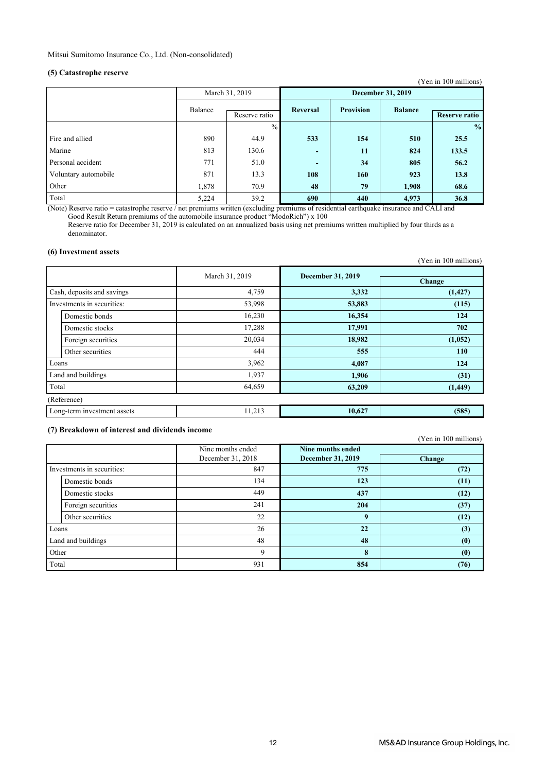### **(5) Catastrophe reserve**

| $\sqrt{2}$           |                          |                |                          |                  |                          | (Yen in 100 millions) |
|----------------------|--------------------------|----------------|--------------------------|------------------|--------------------------|-----------------------|
|                      |                          | March 31, 2019 |                          |                  | <b>December 31, 2019</b> |                       |
|                      | Balance<br>Reserve ratio |                | <b>Reversal</b>          | <b>Provision</b> | <b>Balance</b>           | <b>Reserve ratio</b>  |
|                      |                          | $\frac{0}{0}$  |                          |                  |                          | $\frac{0}{0}$         |
| Fire and allied      | 890                      | 44.9           | 533                      | 154              | 510                      | 25.5                  |
| Marine               | 813                      | 130.6          | $\overline{\phantom{0}}$ | 11               | 824                      | 133.5                 |
| Personal accident    | 771                      | 51.0           | $\overline{\phantom{0}}$ | 34               | 805                      | 56.2                  |
| Voluntary automobile | 871                      | 13.3           | 108                      | 160              | 923                      | 13.8                  |
| Other                | 1,878                    | 70.9           | 48                       | 79               | 1,908                    | 68.6                  |
| Total                | 5,224                    | 39.2           | 690                      | 440              | 4,973                    | 36.8                  |

(Note) Reserve ratio = catastrophe reserve / net premiums written (excluding premiums of residential earthquake insurance and CALI and Good Result Return premiums of the automobile insurance product "ModoRich") x 100

 Reserve ratio for December 31, 2019 is calculated on an annualized basis using net premiums written multiplied by four thirds as a denominator.

#### **(6) Investment assets**

| уу ніусмінсін азэсіз        |                |                          | (Yen in 100 millions) |
|-----------------------------|----------------|--------------------------|-----------------------|
|                             | March 31, 2019 | <b>December 31, 2019</b> | Change                |
| Cash, deposits and savings  | 4,759          | 3,332                    | (1, 427)              |
| Investments in securities:  | 53,998         | 53,883                   | (115)                 |
| Domestic bonds              | 16,230         | 16,354                   | 124                   |
| Domestic stocks             | 17,288         | 17,991                   | 702                   |
| Foreign securities          | 20,034         | 18,982                   | (1,052)               |
| Other securities            | 444            | 555                      | <b>110</b>            |
| Loans                       | 3,962          | 4,087                    | 124                   |
| Land and buildings          | 1,937          | 1,906                    | (31)                  |
| Total                       | 64,659         | 63,209                   | (1, 449)              |
| (Reference)                 |                |                          |                       |
| Long-term investment assets | 11,213         | 10,627                   | (585)                 |

#### **(7) Breakdown of interest and dividends income**

(Yen in 100 millions)

|                            |                    | Nine months ended<br>December 31, 2018 | Nine months ended<br><b>December 31, 2019</b> | <b>Change</b> |
|----------------------------|--------------------|----------------------------------------|-----------------------------------------------|---------------|
| Investments in securities: |                    | 847                                    | 775                                           | (72)          |
|                            | Domestic bonds     | 134                                    | 123                                           | (11)          |
|                            | Domestic stocks    | 449                                    | 437                                           | (12)          |
|                            | Foreign securities | 241                                    | 204                                           | (37)          |
|                            | Other securities   | 22                                     | 9                                             | (12)          |
| Loans                      |                    | 26                                     | 22                                            | (3)           |
|                            | Land and buildings | 48                                     | 48                                            | (0)           |
| Other                      |                    | 9                                      | 8                                             | (0)           |
| Total                      |                    | 931                                    | 854                                           | (76)          |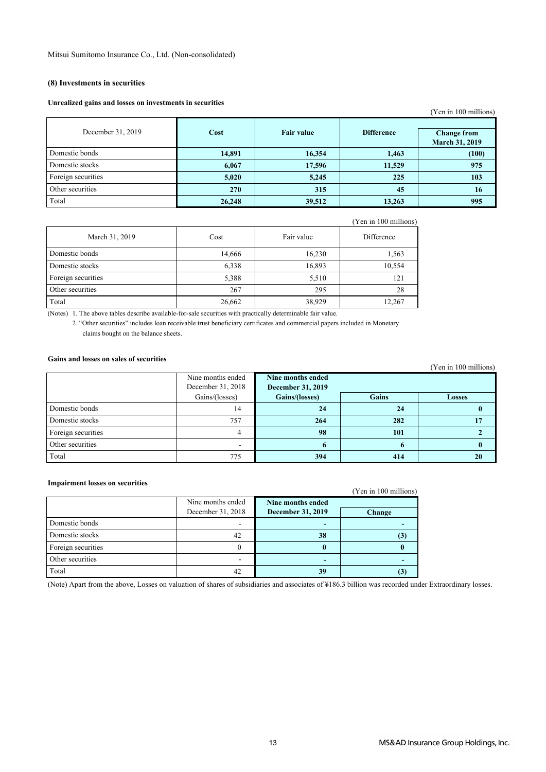#### **(8) Investments in securities**

#### **Unrealized gains and losses on investments in securities**

| our canzed gains and losses on investments in securities |            |                   |                   | (Yen in 100 millions)                       |
|----------------------------------------------------------|------------|-------------------|-------------------|---------------------------------------------|
| December 31, 2019                                        | Cost       | <b>Fair value</b> | <b>Difference</b> | <b>Change from</b><br><b>March 31, 2019</b> |
| Domestic bonds                                           | 14,891     | 16,354            | 1,463             | (100)                                       |
| Domestic stocks                                          | 6,067      | 17,596            | 11,529            | 975                                         |
| Foreign securities                                       | 5,020      | 5,245             | 225               | 103                                         |
| Other securities                                         | <b>270</b> | 315               | 45                | 16                                          |
| Total                                                    | 26,248     | 39,512            | 13,263            | 995                                         |

|                    |        |            | (Yen in 100 millions) |
|--------------------|--------|------------|-----------------------|
| March 31, 2019     | Cost   | Fair value | Difference            |
| Domestic bonds     | 14,666 | 16,230     | 1,563                 |
| Domestic stocks    | 6,338  | 16,893     | 10,554                |
| Foreign securities | 5,388  | 5,510      | 121                   |
| Other securities   | 267    | 295        | 28                    |
| Total              | 26,662 | 38,929     | 12,267                |

(Notes) 1. The above tables describe available-for-sale securities with practically determinable fair value.

2. "Other securities" includes loan receivable trust beneficiary certificates and commercial papers included in Monetary claims bought on the balance sheets.

### **Gains and losses on sales of securities**

| waanu mna nyuuvu valumee vi uvvmiimivu |                   |                          |              | (Yen in 100 millions) |
|----------------------------------------|-------------------|--------------------------|--------------|-----------------------|
|                                        | Nine months ended | Nine months ended        |              |                       |
|                                        | December 31, 2018 | <b>December 31, 2019</b> |              |                       |
|                                        | Gains/(losses)    | Gains/(losses)           | <b>Gains</b> | <b>Losses</b>         |
| Domestic bonds                         | 14                | 24                       | 24           |                       |
| Domestic stocks                        | 757               | 264                      | 282          |                       |
| Foreign securities                     | 4                 | 98                       | 101          |                       |
| Other securities                       |                   |                          |              |                       |
| Total                                  | 775               | 394                      | 414          | 20                    |

#### **Impairment losses on securities**

| THE PAIL INCITE 1088CS ON SECULITIES |                   |                          | (Yen in 100 millions) |
|--------------------------------------|-------------------|--------------------------|-----------------------|
|                                      | Nine months ended | Nine months ended        |                       |
|                                      | December 31, 2018 | <b>December 31, 2019</b> | <b>Change</b>         |
| Domestic bonds                       |                   |                          |                       |
| Domestic stocks                      | 42                | 38                       |                       |
| Foreign securities                   |                   |                          |                       |
| Other securities                     |                   |                          |                       |
| Total                                | 42                | 39                       |                       |

(Note) Apart from the above, Losses on valuation of shares of subsidiaries and associates of ¥186.3 billion was recorded under Extraordinary losses.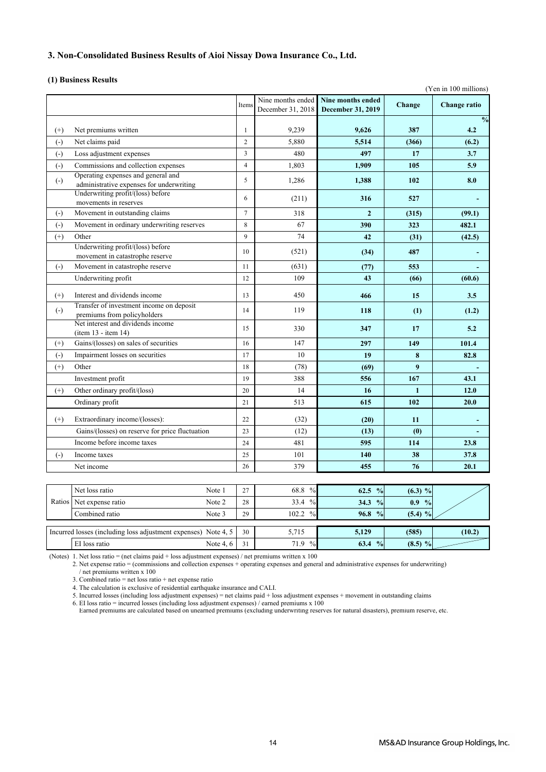### **3. Non-Consolidated Business Results of Aioi Nissay Dowa Insurance Co., Ltd.**

#### **(1) Business Results**

|                        |                                                                |             |                |                   |                   |              | (Yen in 100 millions) |
|------------------------|----------------------------------------------------------------|-------------|----------------|-------------------|-------------------|--------------|-----------------------|
|                        |                                                                |             |                | Nine months ended | Nine months ended |              |                       |
|                        |                                                                |             | Items          | December 31, 2018 | December 31, 2019 | Change       | Change ratio          |
|                        |                                                                |             |                |                   |                   |              | $\frac{0}{0}$         |
| $^{(+)}$               | Net premiums written                                           |             | 1              | 9,239             | 9,626             | 387          | 4.2                   |
| $(-)$                  | Net claims paid                                                |             | $\overline{c}$ | 5,880             | 5,514             | (366)        | (6.2)                 |
| $(-)$                  | Loss adjustment expenses                                       |             | 3              | 480               | 497               | 17           | 3.7                   |
| $\left( -\right)$      | Commissions and collection expenses                            |             | $\overline{4}$ | 1,803             | 1,909             | 105          | 5.9                   |
| $\left( \cdot \right)$ | Operating expenses and general and                             |             | 5              | 1,286             | 1,388             | 102          | 8.0                   |
|                        | administrative expenses for underwriting                       |             |                |                   |                   |              |                       |
|                        | Underwriting profit/(loss) before<br>movements in reserves     |             | 6              | (211)             | 316               | 527          |                       |
| $\left( \cdot \right)$ | Movement in outstanding claims                                 |             | $\tau$         | 318               | $\overline{2}$    | (315)        | (99.1)                |
| $(-)$                  | Movement in ordinary underwriting reserves                     |             | 8              | 67                | 390               | 323          | 482.1                 |
| $^{(+)}$               | Other                                                          |             | 9              | 74                | 42                | (31)         | (42.5)                |
|                        | Underwriting profit/(loss) before                              |             |                |                   |                   |              |                       |
|                        | movement in catastrophe reserve                                |             | 10             | (521)             | (34)              | 487          |                       |
| $(-)$                  | Movement in catastrophe reserve                                |             | 11             | (631)             | (77)              | 553          |                       |
|                        | Underwriting profit                                            |             | 12             | 109               | 43                | (66)         | (60.6)                |
|                        | Interest and dividends income                                  |             | 13             | 450               | 466               | 15           | 3.5                   |
| $^{(+)}$               | Transfer of investment income on deposit                       |             |                |                   |                   |              |                       |
| $\left( \cdot \right)$ | premiums from policyholders                                    |             | 14             | 119               | 118               | (1)          | (1.2)                 |
|                        | Net interest and dividends income                              |             | 15             | 330               | 347               | 17           | 5.2                   |
|                        | $item 13 - item 14)$                                           |             |                |                   |                   |              |                       |
| $^{(+)}$               | Gains/(losses) on sales of securities                          |             | 16             | 147               | 297               | 149          | 101.4                 |
| $(-)$                  | Impairment losses on securities                                |             | 17             | 10                | 19                | 8            | 82.8                  |
| $^{(+)}$               | Other                                                          |             | 18             | (78)              | (69)              | 9            |                       |
|                        | Investment profit                                              |             | 19             | 388               | 556               | 167          | 43.1                  |
| $^{(+)}$               | Other ordinary profit/(loss)                                   |             | 20             | 14                | 16                | $\mathbf{1}$ | 12.0                  |
|                        | Ordinary profit                                                |             | 21             | 513               | 615               | 102          | 20.0                  |
|                        |                                                                |             |                |                   |                   |              |                       |
| $^{(+)}$               | Extraordinary income/(losses):                                 |             | 22             | (32)              | (20)              | 11           |                       |
|                        | Gains/(losses) on reserve for price fluctuation                |             | 23             | (12)              | (13)              | (0)          |                       |
|                        | Income before income taxes                                     |             | 24             | 481               | 595               | 114          | 23.8                  |
| $(-)$                  | Income taxes                                                   |             | 25             | 101               | 140               | 38           | 37.8                  |
|                        | Net income                                                     |             | 26             | 379               | 455               | 76           | 20.1                  |
|                        |                                                                |             |                |                   |                   |              |                       |
|                        | Net loss ratio                                                 | Note 1      | 27             | 68.8 %            | 62.5 %            | $(6.3) \%$   |                       |
| Ratios                 | Net expense ratio                                              | Note 2      | 28             | 33.4 %            | 34.3 %            | $0.9\%$      |                       |
|                        | Combined ratio                                                 | Note 3      | 29             | 102.2 %           | 96.8 %            | (5.4) %      |                       |
|                        |                                                                |             |                |                   |                   |              |                       |
|                        | Incurred losses (including loss adjustment expenses) Note 4, 5 |             | 30             | 5,715             | 5,129             | (585)        | (10.2)                |
|                        | EI loss ratio                                                  | Note $4, 6$ | 31             | 71.9 %            | 63.4 %            | $(8.5) \%$   |                       |

(Notes) 1. Net loss ratio = (net claims paid + loss adjustment expenses) / net premiums written x 100

2. Net expense ratio = (commissions and collection expenses + operating expenses and general and administrative expenses for underwriting) / net premiums written x 100

3. Combined ratio = net loss ratio + net expense ratio

4. The calculation is exclusive of residential earthquake insurance and CALI.

5. Incurred losses (including loss adjustment expenses) = net claims paid + loss adjustment expenses + movement in outstanding claims

6. EI loss ratio = incurred losses (including loss adjustment expenses) / earned premiums x 100<br>Earned premiums are calculated based on unearned premiums (excluding underwriting reserves for natural disasters), premium res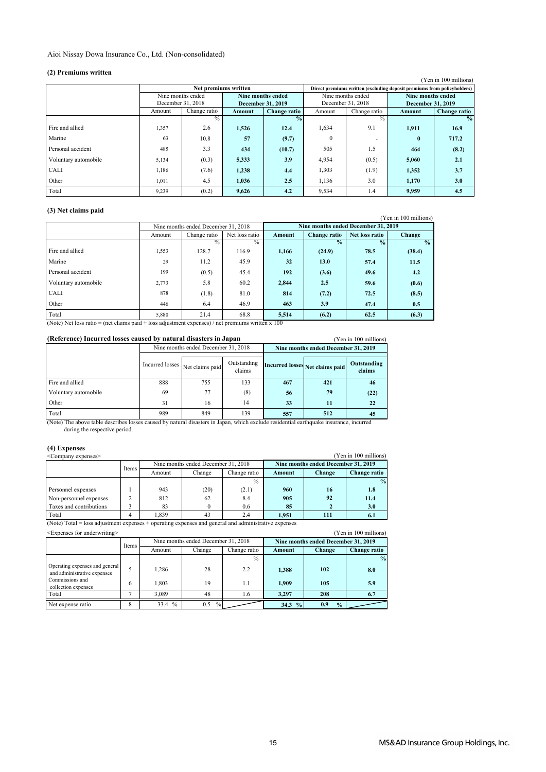### Aioi Nissay Dowa Insurance Co., Ltd. (Non-consolidated)

#### **(2) Premiums written**

| (4) FICHRUMS WIRTH   |                   |                      |                   |               |                   |               |                                                                         |                       |
|----------------------|-------------------|----------------------|-------------------|---------------|-------------------|---------------|-------------------------------------------------------------------------|-----------------------|
|                      |                   |                      |                   |               |                   |               |                                                                         | (Yen in 100 millions) |
|                      |                   | Net premiums written |                   |               |                   |               | Direct premiums written (excluding deposit premiums from policyholders) |                       |
|                      | Nine months ended |                      | Nine months ended |               | Nine months ended |               | Nine months ended                                                       |                       |
|                      | December 31, 2018 |                      | December 31, 2019 |               | December 31, 2018 |               | December 31, 2019                                                       |                       |
|                      | Amount            | Change ratio         | Amount            | Change ratio  | Amount            | Change ratio  | Amount                                                                  | <b>Change ratio</b>   |
|                      |                   | $\frac{0}{0}$        |                   | $\frac{0}{2}$ |                   | $\frac{0}{0}$ |                                                                         | $\frac{6}{9}$         |
| Fire and allied      | 1,357             | 2.6                  | 1,526             | 12.4          | 1,634             | 9.1           | 1,911                                                                   | 16.9                  |
| Marine               | 63                | 10.8                 | 57                | (9.7)         | $\Omega$          | ۰             | $\mathbf{0}$                                                            | 717.2                 |
| Personal accident    | 485               | 3.3                  | 434               | (10.7)        | 505               | 1.5           | 464                                                                     | (8.2)                 |
| Voluntary automobile | 5,134             | (0.3)                | 5,333             | 3.9           | 4,954             | (0.5)         | 5,060                                                                   | 2.1                   |
| CALI                 | 1,186             | (7.6)                | 1.238             | 4.4           | 1,303             | (1.9)         | 1,352                                                                   | 3.7                   |
| Other                | 1,011             | 4.5                  | 1.036             | 2.5           | 1,136             | 3.0           | 1.170                                                                   | 3.0                   |
| Total                | 9,239             | (0.2)                | 9.626             | 4.2           | 9,534             | 1.4           | 9.959                                                                   | 4.5                   |

### **(3) Net claims paid**

| (0) TWE CRIMING PAIG |        |                                     |                |        |                                     |                |                       |
|----------------------|--------|-------------------------------------|----------------|--------|-------------------------------------|----------------|-----------------------|
|                      |        |                                     |                |        |                                     |                | (Yen in 100 millions) |
|                      |        | Nine months ended December 31, 2018 |                |        | Nine months ended December 31, 2019 |                |                       |
|                      | Amount | Change ratio                        | Net loss ratio | Amount | <b>Change ratio</b>                 | Net loss ratio | <b>Change</b>         |
|                      |        | $\frac{0}{0}$                       | $\frac{0}{6}$  |        | $\frac{1}{2}$                       | $\frac{0}{2}$  | $\frac{0}{0}$         |
| Fire and allied      | 1,553  | 128.7                               | 116.9          | 1,166  | (24.9)                              | 78.5           | (38.4)                |
| Marine               | 29     | 11.2                                | 45.9           | 32     | 13.0                                | 57.4           | 11.5                  |
| Personal accident    | 199    | (0.5)                               | 45.4           | 192    | (3.6)                               | 49.6           | 4.2                   |
| Voluntary automobile | 2,773  | 5.8                                 | 60.2           | 2,844  | 2.5                                 | 59.6           | (0.6)                 |
| <b>CALI</b>          | 878    | (1.8)                               | 81.0           | 814    | (7.2)                               | 72.5           | (8.5)                 |
| Other                | 446    | 6.4                                 | 46.9           | 463    | 3.9                                 | 47.4           | 0.5                   |
| Total                | 5,880  | 21.4                                | 68.8           | 5,514  | (6.2)                               | 62.5           | (6.3)                 |

(Note) Net loss ratio = (net claims paid + loss adjustment expenses) / net premiums written x 100

| (Reference) Incurred losses caused by natural disasters in Japan |                                 |                                     | (Yen in 100 millions) |                                 |                                     |                       |
|------------------------------------------------------------------|---------------------------------|-------------------------------------|-----------------------|---------------------------------|-------------------------------------|-----------------------|
|                                                                  |                                 | Nine months ended December 31, 2018 |                       |                                 | Nine months ended December 31, 2019 |                       |
|                                                                  | Incurred losses Net claims paid |                                     | Outstanding<br>claims | Incurred losses Net claims paid |                                     | Outstanding<br>claims |
| Fire and allied                                                  | 888                             | 755                                 | 133                   | 467                             | 421                                 | 46                    |
| Voluntary automobile                                             | 69                              | 77                                  | (8)                   | 56                              | 79                                  | (22)                  |
| Other                                                            | 31                              | 16                                  | 14                    | 33                              | 11                                  | 22                    |
| Total                                                            | 989                             | 849                                 | 139                   | 557                             | 512                                 |                       |

(Note) The above table describes losses caused by natural disasters in Japan, which exclude residential earthquake insurance, incurred during the respective period.

| (4) Expenses<br><company expenses=""></company> |       |        |                                     |               |        |                                     | (Yen in 100 millions) |
|-------------------------------------------------|-------|--------|-------------------------------------|---------------|--------|-------------------------------------|-----------------------|
|                                                 |       |        | Nine months ended December 31, 2018 |               |        | Nine months ended December 31, 2019 |                       |
|                                                 | Items | Amount | Change                              | Change ratio  | Amount | <b>Change</b>                       | <b>Change ratio</b>   |
|                                                 |       |        |                                     | $\frac{0}{0}$ |        |                                     | $\frac{0}{0}$         |
| Personnel expenses                              |       | 943    | (20)                                | (2.1)         | 960    | 16                                  | 1.8                   |
| Non-personnel expenses                          |       | 812    | 62                                  | 8.4           | 905    | 92                                  | 11.4                  |
| Taxes and contributions                         |       | 83     | $\Omega$                            | 0.6           | 85     |                                     | 3.0                   |
| Total                                           | 4     | 1.839  | 43                                  | 2.4           | 1.951  | 111                                 | 6.1                   |

(Note) Total = loss adjustment expenses + operating expenses and general and administrative expenses

| (Yen in 100 millions)<br><expenses for="" underwriting=""></expenses> |       |              |                                     |               |                       |                                     |               |
|-----------------------------------------------------------------------|-------|--------------|-------------------------------------|---------------|-----------------------|-------------------------------------|---------------|
|                                                                       | Items |              | Nine months ended December 31, 2018 |               |                       | Nine months ended December 31, 2019 |               |
|                                                                       |       | Amount       | Change                              | Change ratio  | Amount                | Change                              | Change ratio  |
|                                                                       |       |              |                                     | $\frac{0}{0}$ |                       |                                     | $\frac{0}{0}$ |
| Operating expenses and general<br>and administrative expenses         |       | 1.286        | 28                                  | 2.2           | 1.388                 | 102                                 | 8.0           |
| Commissions and<br>collection expenses                                | 6     | 1.803        | 19                                  | 1.1           | 1.909                 | 105                                 | 5.9           |
| Total                                                                 |       | 3.089        | 48                                  | 1.6           | 3.297                 | 208                                 | 6.7           |
| Net expense ratio                                                     | 8     | $\%$<br>33.4 | $\frac{0}{0}$<br>0.5                |               | $\frac{0}{2}$<br>34.3 | 0.9<br>$\frac{0}{0}$                |               |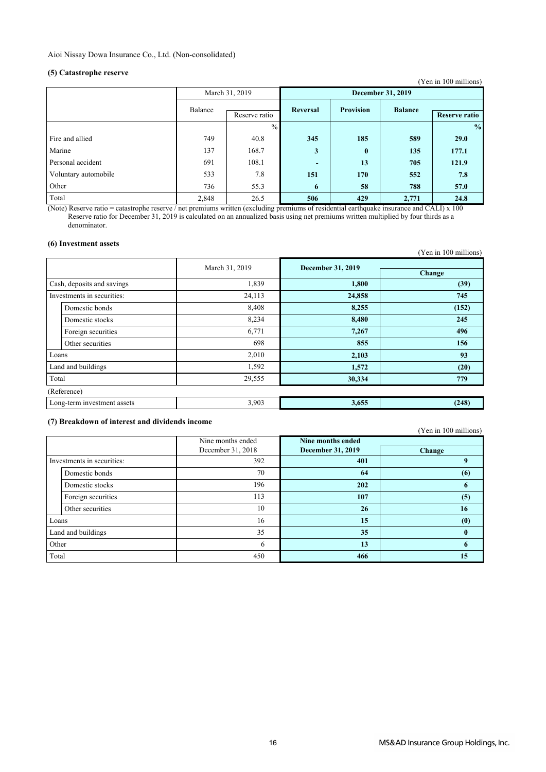### **(5) Catastrophe reserve**

| $\sqrt{2}$           |         |                |                          |                          |                | (Yen in 100 millions) |  |
|----------------------|---------|----------------|--------------------------|--------------------------|----------------|-----------------------|--|
|                      |         | March 31, 2019 |                          | <b>December 31, 2019</b> |                |                       |  |
|                      | Balance | Reserve ratio  | Reversal                 | <b>Provision</b>         | <b>Balance</b> | <b>Reserve ratio</b>  |  |
|                      |         | $\frac{0}{0}$  |                          |                          |                | $\frac{0}{0}$         |  |
| Fire and allied      | 749     | 40.8           | 345                      | 185                      | 589            | <b>29.0</b>           |  |
| Marine               | 137     | 168.7          | 3                        | $\bf{0}$                 | 135            | 177.1                 |  |
| Personal accident    | 691     | 108.1          | $\overline{\phantom{0}}$ | 13                       | 705            | 121.9                 |  |
| Voluntary automobile | 533     | 7.8            | 151                      | 170                      | 552            | 7.8                   |  |
| Other                | 736     | 55.3           | 6                        | 58                       | 788            | 57.0                  |  |
| Total                | 2,848   | 26.5           | 506                      | 429                      | 2,771          | 24.8                  |  |

(Note) Reserve ratio = catastrophe reserve / net premiums written (excluding premiums of residential earthquake insurance and CALI) x 100 Reserve ratio for December 31, 2019 is calculated on an annualized basis using net premiums written multiplied by four thirds as a denominator.

#### **(6) Investment assets**

|       | $(0)$ in $\omega$ covering association |                |                          | (Yen in 100 millions) |
|-------|----------------------------------------|----------------|--------------------------|-----------------------|
|       |                                        | March 31, 2019 | <b>December 31, 2019</b> | Change                |
|       | Cash, deposits and savings             | 1,839          | 1,800                    | (39)                  |
|       |                                        |                |                          |                       |
|       | Investments in securities:             | 24,113         | 24,858                   | 745                   |
|       | Domestic bonds                         | 8,408          | 8,255                    | (152)                 |
|       | Domestic stocks                        | 8,234          | 8,480                    | 245                   |
|       | Foreign securities                     | 6,771          | 7,267                    | 496                   |
|       | Other securities                       | 698            | 855                      | 156                   |
|       | Loans                                  | 2,010          | 2,103                    | 93                    |
|       | Land and buildings                     | 1,592          | 1,572                    | (20)                  |
| Total |                                        | 29,555         | 30,334                   | 779                   |
|       | (Reference)                            |                |                          |                       |
|       | Long-term investment assets            | 3,903          | 3,655                    | (248)                 |
|       |                                        |                |                          |                       |

### **(7) Breakdown of interest and dividends income**

(Yen in 100 millions)

|       |                            | Nine months ended | <b>Nine months ended</b> |              |
|-------|----------------------------|-------------------|--------------------------|--------------|
|       |                            | December 31, 2018 | <b>December 31, 2019</b> | Change       |
|       | Investments in securities: | 392               | 401                      | 9            |
|       | Domestic bonds             | 70                | 64                       | (6)          |
|       | Domestic stocks            | 196               | 202                      | 6            |
|       | Foreign securities         | 113               | 107                      | (5)          |
|       | Other securities           | 10                | 26                       | 16           |
| Loans |                            | 16                | 15                       | (0)          |
|       | Land and buildings         | 35                | 35                       | $\mathbf{0}$ |
| Other |                            | 6                 | 13                       | 6            |
| Total |                            | 450               | 466                      | 15           |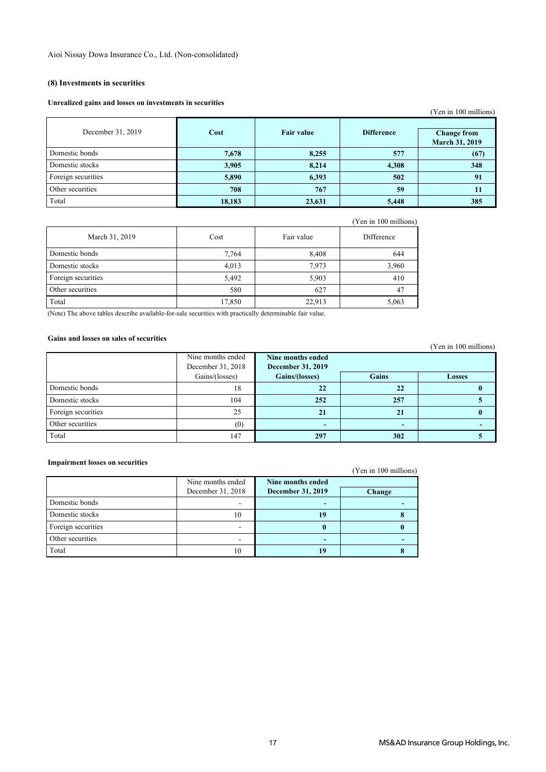### **(8) Investments in securities**

#### **Unrealized gains and losses on investments in securities**

|                    |        |                   |                   | (Yen in 100 millions)                       |
|--------------------|--------|-------------------|-------------------|---------------------------------------------|
| December 31, 2019  | Cost   | <b>Fair value</b> | <b>Difference</b> | <b>Change from</b><br><b>March 31, 2019</b> |
| Domestic bonds     | 7,678  | 8,255             | 577               | (67)                                        |
| Domestic stocks    | 3,905  | 8,214             | 4,308             | 348                                         |
| Foreign securities | 5,890  | 6,393             | 502               | 91                                          |
| Other securities   | 708    | 767               | 59                | 11                                          |
| Total              | 18,183 | 23,631            | 5,448             | 385                                         |

|                    |        |            | (Yen in 100 millions) |
|--------------------|--------|------------|-----------------------|
| March 31, 2019     | Cost   | Fair value | Difference            |
| Domestic bonds     | 7,764  | 8,408      | 644                   |
| Domestic stocks    | 4,013  | 7,973      | 3,960                 |
| Foreign securities | 5,492  | 5,903      | 410                   |
| Other securities   | 580    | 627        | 47                    |
| Total              | 17,850 | 22,913     | 5,063                 |

(Note) The above tables describe available-for-sale securities with practically determinable fair value.

### **Gains and losses on sales of securities**

|                    |                   |                          |              | $1.001$ m $100$ minimons |
|--------------------|-------------------|--------------------------|--------------|--------------------------|
|                    | Nine months ended | Nine months ended        |              |                          |
|                    | December 31, 2018 | <b>December 31, 2019</b> |              |                          |
|                    | Gains/(losses)    | Gains/(losses)           | <b>Gains</b> | <b>Losses</b>            |
| Domestic bonds     | 18                | 22                       | 22           |                          |
| Domestic stocks    | 104               | 252                      | 257          |                          |
| Foreign securities | 25                | 21                       | 21           |                          |
| Other securities   | (0)               | -                        |              |                          |
| Total              | 147               | 297                      | 302          |                          |

#### **Impairment losses on securities**

(Yen in 100 millions)

|                    | Nine months ended<br>December 31, 2018 | Nine months ended<br><b>December 31, 2019</b> | Change |
|--------------------|----------------------------------------|-----------------------------------------------|--------|
| Domestic bonds     |                                        |                                               |        |
| Domestic stocks    | 10                                     | 19                                            |        |
| Foreign securities |                                        |                                               |        |
| Other securities   |                                        |                                               |        |
| Total              | 10                                     |                                               |        |

(Yen in 100 millions)

(Yen in 100 millions)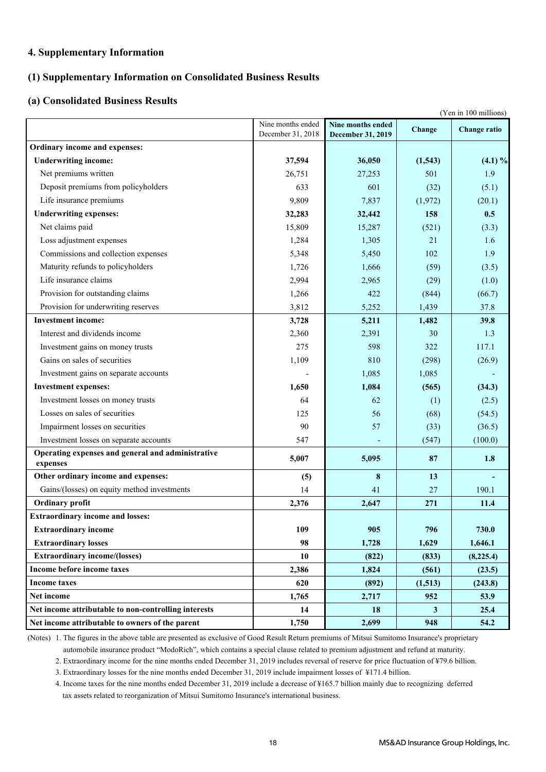### **4. Supplementary Information**

### **(1) Supplementary Information on Consolidated Business Results**

### **(a) Consolidated Business Results**

|                                                               |                                        |                                        |         | (Yen in 100 millions) |
|---------------------------------------------------------------|----------------------------------------|----------------------------------------|---------|-----------------------|
|                                                               | Nine months ended<br>December 31, 2018 | Nine months ended<br>December 31, 2019 | Change  | <b>Change ratio</b>   |
| Ordinary income and expenses:                                 |                                        |                                        |         |                       |
| <b>Underwriting income:</b>                                   | 37,594                                 | 36,050                                 | (1,543) | $(4.1) \%$            |
| Net premiums written                                          | 26,751                                 | 27,253                                 | 501     | 1.9                   |
| Deposit premiums from policyholders                           | 633                                    | 601                                    | (32)    | (5.1)                 |
| Life insurance premiums                                       | 9,809                                  | 7,837                                  | (1,972) | (20.1)                |
| <b>Underwriting expenses:</b>                                 | 32,283                                 | 32,442                                 | 158     | 0.5                   |
| Net claims paid                                               | 15,809                                 | 15,287                                 | (521)   | (3.3)                 |
| Loss adjustment expenses                                      | 1,284                                  | 1,305                                  | 21      | 1.6                   |
| Commissions and collection expenses                           | 5,348                                  | 5,450                                  | 102     | 1.9                   |
| Maturity refunds to policyholders                             | 1,726                                  | 1,666                                  | (59)    | (3.5)                 |
| Life insurance claims                                         | 2,994                                  | 2,965                                  | (29)    | (1.0)                 |
| Provision for outstanding claims                              | 1,266                                  | 422                                    | (844)   | (66.7)                |
| Provision for underwriting reserves                           | 3,812                                  | 5,252                                  | 1,439   | 37.8                  |
| <b>Investment income:</b>                                     | 3,728                                  | 5,211                                  | 1,482   | 39.8                  |
| Interest and dividends income                                 | 2,360                                  | 2,391                                  | 30      | 1.3                   |
| Investment gains on money trusts                              | 275                                    | 598                                    | 322     | 117.1                 |
| Gains on sales of securities                                  | 1,109                                  | 810                                    | (298)   | (26.9)                |
| Investment gains on separate accounts                         |                                        | 1,085                                  | 1,085   |                       |
| <b>Investment expenses:</b>                                   | 1,650                                  | 1,084                                  | (565)   | (34.3)                |
| Investment losses on money trusts                             | 64                                     | 62                                     | (1)     | (2.5)                 |
| Losses on sales of securities                                 | 125                                    | 56                                     | (68)    | (54.5)                |
| Impairment losses on securities                               | 90                                     | 57                                     | (33)    | (36.5)                |
| Investment losses on separate accounts                        | 547                                    |                                        | (547)   | (100.0)               |
| Operating expenses and general and administrative<br>expenses | 5,007                                  | 5,095                                  | 87      | 1.8                   |
| Other ordinary income and expenses:                           | (5)                                    | 8                                      | 13      |                       |
| Gains/(losses) on equity method investments                   | 14                                     | 41                                     | 27      | 190.1                 |
| Ordinary profit                                               | 2,376                                  | 2,647                                  | 271     | 11.4                  |
| <b>Extraordinary income and losses:</b>                       |                                        |                                        |         |                       |
| <b>Extraordinary income</b>                                   | 109                                    | 905                                    | 796     | 730.0                 |
| <b>Extraordinary losses</b>                                   | 98                                     | 1,728                                  | 1,629   | 1,646.1               |
| <b>Extraordinary income/(losses)</b>                          | 10                                     | (822)                                  | (833)   | (8, 225.4)            |
| Income before income taxes                                    | 2,386                                  | 1,824                                  | (561)   | (23.5)                |
| <b>Income taxes</b>                                           | 620                                    | (892)                                  | (1,513) | (243.8)               |
| Net income                                                    | 1,765                                  | 2,717                                  | 952     | 53.9                  |
| Net income attributable to non-controlling interests          | 14                                     | 18                                     | 3       | 25.4                  |
| Net income attributable to owners of the parent               | 1,750                                  | 2,699                                  | 948     | 54.2                  |

(Notes) 1. The figures in the above table are presented as exclusive of Good Result Return premiums of Mitsui Sumitomo Insurance's proprietary automobile insurance product "ModoRich", which contains a special clause related to premium adjustment and refund at maturity.

2. Extraordinary income for the nine months ended December 31, 2019 includes reversal of reserve for price fluctuation of ¥79.6 billion.

3. Extraordinary losses for the nine months ended December 31, 2019 include impairment losses of ¥171.4 billion.

4. Income taxes for the nine months ended December 31, 2019 include a decrease of ¥165.7 billion mainly due to recognizing deferred tax assets related to reorganization of Mitsui Sumitomo Insurance's international business.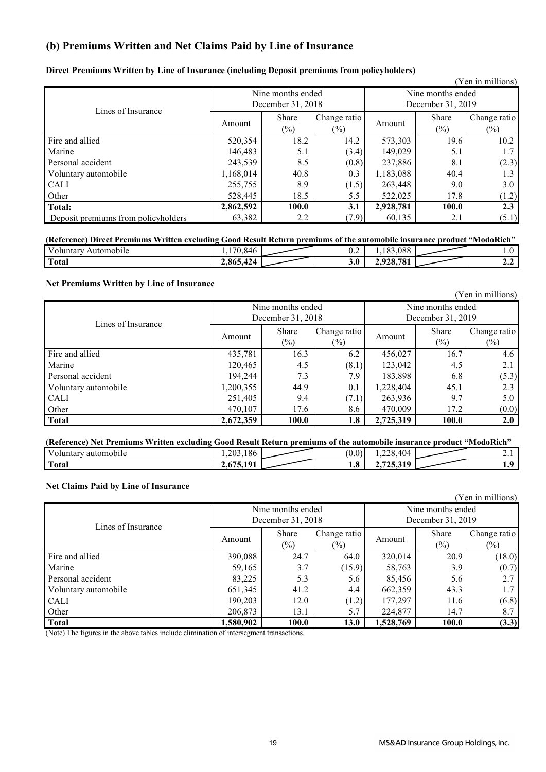### **(b) Premiums Written and Net Claims Paid by Line of Insurance**

|  |  |  |  | Direct Premiums Written by Line of Insurance (including Deposit premiums from policyholders) |
|--|--|--|--|----------------------------------------------------------------------------------------------|
|  |  |  |  |                                                                                              |

|                                     |                   |                   |              |           |                   | (Yen in millions) |  |
|-------------------------------------|-------------------|-------------------|--------------|-----------|-------------------|-------------------|--|
|                                     |                   | Nine months ended |              |           | Nine months ended |                   |  |
| Lines of Insurance                  | December 31, 2018 |                   |              |           | December 31, 2019 |                   |  |
|                                     |                   | Share             | Change ratio |           | Share             | Change ratio      |  |
|                                     | Amount            | $(\%)$            | $(\%)$       | Amount    | $(\%)$            | $(\%)$            |  |
| Fire and allied                     | 520,354           | 18.2              | 14.2         | 573,303   | 19.6              | 10.2              |  |
| Marine                              | 146,483           | 5.1               | (3.4)        | 149,029   | 5.1               | 1.7               |  |
| Personal accident                   | 243,539           | 8.5               | (0.8)        | 237,886   | 8.1               | (2.3)             |  |
| Voluntary automobile                | 1,168,014         | 40.8              | 0.3          | 1,183,088 | 40.4              | 1.3               |  |
| <b>CALI</b>                         | 255,755           | 8.9               | (1.5)        | 263,448   | 9.0               | 3.0               |  |
| Other                               | 528,445           | 18.5              | 5.5          | 522,025   | 17.8              | (1.2)             |  |
| <b>Total:</b>                       | 2,862,592         | 100.0             | 3.1          | 2,928,781 | 100.0             | 2.3               |  |
| Deposit premiums from policyholders | 63,382            | 2.2               | (7.9)        | 60,135    | 2.1               | (5.1)             |  |

### Voluntary Automobile 1,170,846 0.2 1,183,088 1.0 **(Reference) Direct Premiums Written excluding Good Result Return premiums of the automobile insurance product "ModoRich"**

| -viulitai v<br>Automobile | 0.070<br>. | $\mathsf{u} \cdot \mathsf{v}$ | .                                                   | $\cdot\cdot$ |
|---------------------------|------------|-------------------------------|-----------------------------------------------------|--------------|
| $\mathbf T$<br>Total      | 2,865,424  | 3.0 <sub>2</sub>              | 701<br>$\mathbf{a}$<br>$\overline{a}$<br>20.<br>. . | .            |
|                           |            |                               |                                                     |              |

### **Net Premiums Written by Line of Insurance**

|                      |                        |                   |              |           |                   | (Yen in millions) |
|----------------------|------------------------|-------------------|--------------|-----------|-------------------|-------------------|
|                      |                        | Nine months ended |              |           | Nine months ended |                   |
| Lines of Insurance   | December 31, 2018      |                   |              |           | December 31, 2019 |                   |
|                      |                        | Share             | Change ratio |           | Share             | Change ratio      |
|                      | Amount                 | $(\%)$            | $(\%)$       | Amount    | $(\%)$            | $(\%)$            |
| Fire and allied      | 435,781                | 16.3              | 6.2          | 456,027   | 16.7              | 4.6               |
| Marine               | 120,465                | 4.5               | (8.1)        | 123,042   | 4.5               | 2.1               |
| Personal accident    | 194,244                | 7.3               | 7.9          | 183,898   | 6.8               | (5.3)             |
| Voluntary automobile | 1,200,355              | 44.9              | 0.1          | 1,228,404 | 45.1              | 2.3               |
| <b>CALI</b>          | 251,405                | 9.4               | (7.1)        | 263,936   | 9.7               | 5.0               |
| Other                | 470,107<br>17.6<br>8.6 |                   |              | 470,009   | 17.2              | (0.0)             |
| <b>Total</b>         | 2,672,359              | 100.0             | 1.8          | 2,725,319 | 100.0             | 2.0               |

| (Reference) Net Premiums Written excluding Good Result Return premiums of the automobile insurance product "ModoRich" |           |  |         |          |
|-----------------------------------------------------------------------------------------------------------------------|-----------|--|---------|----------|
| Voluntary automobile                                                                                                  | 1.203.186 |  | 228,404 |          |
| Total                                                                                                                 | 10°       |  |         | $\Omega$ |

#### **Net Claims Paid by Line of Insurance**

|                      |                        |                   |              |           |                   | (Yen in millions) |
|----------------------|------------------------|-------------------|--------------|-----------|-------------------|-------------------|
|                      |                        | Nine months ended |              |           | Nine months ended |                   |
| Lines of Insurance   | December 31, 2018      |                   |              |           | December 31, 2019 |                   |
|                      |                        | Share             | Change ratio |           | Share             | Change ratio      |
|                      | Amount                 | $(\%)$            | $(\%)$       | Amount    | $(\%)$            | $(\%)$            |
| Fire and allied      | 390,088                | 24.7              | 64.0         | 320,014   | 20.9              | (18.0)            |
| Marine               | 59,165                 | 3.7               | (15.9)       | 58,763    | 3.9               | (0.7)             |
| Personal accident    | 83,225                 | 5.3               | 5.6          | 85,456    | 5.6               | 2.7               |
| Voluntary automobile | 651,345                | 41.2              | 4.4          | 662,359   | 43.3              | 1.7               |
| <b>CALI</b>          | 190,203                | 12.0              | (1.2)        | 177,297   | 11.6              | (6.8)             |
| Other                | 206,873<br>13.1<br>5.7 |                   |              | 224,877   | 14.7              | 8.7               |
| <b>Total</b>         | 1,580,902              | 100.0             | 13.0         | 1,528,769 | 100.0             | (3.3)             |

(Note) The figures in the above tables include elimination of intersegment transactions.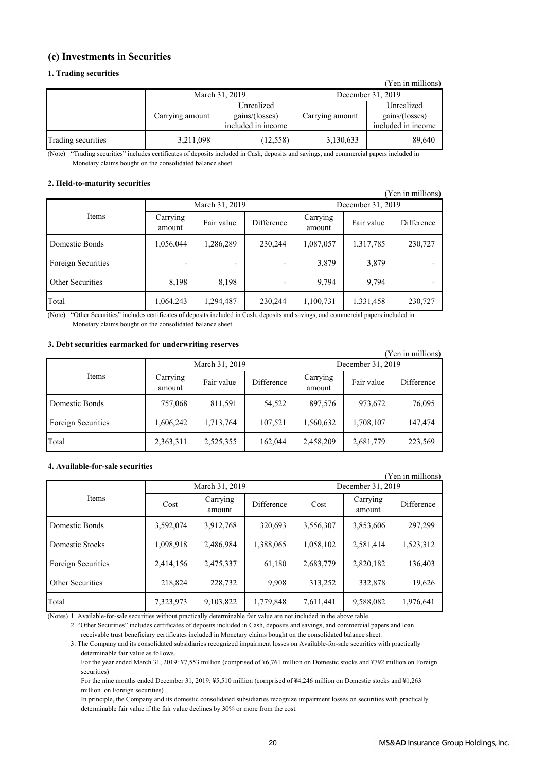### **(c) Investments in Securities**

#### **1. Trading securities**

|                    |                 |                                                    |                   | (Yen in millions)                                  |  |
|--------------------|-----------------|----------------------------------------------------|-------------------|----------------------------------------------------|--|
|                    |                 | March 31, 2019                                     | December 31, 2019 |                                                    |  |
|                    | Carrying amount | Unrealized<br>gains/(losses)<br>included in income | Carrying amount   | Unrealized<br>gains/(losses)<br>included in income |  |
| Trading securities | 3,211,098       | (12, 558)                                          | 3,130,633         | 89,640                                             |  |

"Trading securities" includes certificates of deposits included in Cash, deposits and savings, and commercial papers included in Monetary claims bought on the consolidated balance sheet. (Note)

#### **2. Held-to-maturity securities**

| I CII III IIIIIIIIOIIS) |                    |                |            |                    |            |            |  |
|-------------------------|--------------------|----------------|------------|--------------------|------------|------------|--|
|                         |                    | March 31, 2019 |            | December 31, 2019  |            |            |  |
| Items                   | Carrying<br>amount | Fair value     | Difference | Carrying<br>amount | Fair value | Difference |  |
| Domestic Bonds          | 1,056,044          | 1,286,289      | 230,244    | 1,087,057          | 1,317,785  | 230,727    |  |
| Foreign Securities      | -                  | ۰              | -          | 3,879              | 3,879      |            |  |
| Other Securities        | 8,198              | 8,198          |            | 9.794              | 9,794      |            |  |
| Total                   | 1,064,243          | 1,294,487      | 230,244    | 1,100,731          | 1,331,458  | 230,727    |  |

"Other Securities" includes certificates of deposits included in Cash, deposits and savings, and commercial papers included in Monetary claims bought on the consolidated balance sheet. (Note)

#### **3. Debt securities earmarked for underwriting reserves**

| r en in millions)  |                    |                |            |                    |            |            |  |
|--------------------|--------------------|----------------|------------|--------------------|------------|------------|--|
|                    |                    | March 31, 2019 |            | December 31, 2019  |            |            |  |
| Items              | Carrying<br>amount | Fair value     | Difference | Carrying<br>amount | Fair value | Difference |  |
| Domestic Bonds     | 757,068            | 811,591        | 54,522     | 897,576            | 973,672    | 76,095     |  |
| Foreign Securities | 1,606,242          | 1,713,764      | 107,521    | 1,560,632          | 1,708,107  | 147,474    |  |
| Total              | 2,363,311          | 2,525,355      | 162,044    | 2,458,209          | 2,681,779  | 223,569    |  |

#### **4. Available-for-sale securities**

| (Yen in millions)       |           |                    |            |           |                    |            |  |
|-------------------------|-----------|--------------------|------------|-----------|--------------------|------------|--|
|                         |           | March 31, 2019     |            |           | December 31, 2019  |            |  |
| <b>Items</b>            | Cost      | Carrying<br>amount | Difference | Cost      | Carrying<br>amount | Difference |  |
| Domestic Bonds          | 3,592,074 | 3,912,768          | 320,693    | 3,556,307 | 3,853,606          | 297,299    |  |
| Domestic Stocks         | 1,098,918 | 2,486,984          | 1,388,065  | 1,058,102 | 2,581,414          | 1,523,312  |  |
| Foreign Securities      | 2,414,156 | 2,475,337          | 61,180     | 2,683,779 | 2,820,182          | 136,403    |  |
| <b>Other Securities</b> | 218,824   | 228,732            | 9.908      | 313,252   | 332,878            | 19,626     |  |
| Total                   | 7,323,973 | 9,103,822          | 1,779,848  | 7,611,441 | 9,588,082          | 1,976,641  |  |

(Notes) 1. Available-for-sale securities without practically determinable fair value are not included in the above table.

2. "Other Securities" includes certificates of deposits included in Cash, deposits and savings, and commercial papers and loan receivable trust beneficiary certificates included in Monetary claims bought on the consolidated balance sheet.

3. The Company and its consolidated subsidiaries recognized impairment losses on Available-for-sale securities with practically determinable fair value as follows.

 For the year ended March 31, 2019: ¥7,553 million (comprised of ¥6,761 million on Domestic stocks and ¥792 million on Foreign securities)

 For the nine months ended December 31, 2019: ¥5,510 million (comprised of ¥4,246 million on Domestic stocks and ¥1,263 million on Foreign securities)

 In principle, the Company and its domestic consolidated subsidiaries recognize impairment losses on securities with practically determinable fair value if the fair value declines by 30% or more from the cost.

 $(xz - y - m)$ 

 $(x - i)$  in millions)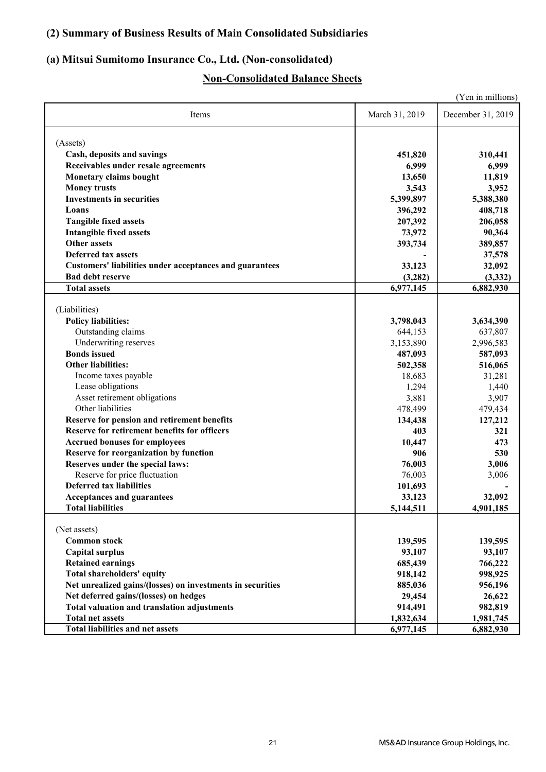## **(2) Summary of Business Results of Main Consolidated Subsidiaries**

## **(a) Mitsui Sumitomo Insurance Co., Ltd. (Non-consolidated)**

## **Non-Consolidated Balance Sheets**

|                                                                |                    | (Yen in millions)    |
|----------------------------------------------------------------|--------------------|----------------------|
| Items                                                          | March 31, 2019     | December 31, 2019    |
| (Assets)                                                       |                    |                      |
| Cash, deposits and savings                                     | 451,820            | 310,441              |
| Receivables under resale agreements                            | 6,999              | 6,999                |
| Monetary claims bought                                         | 13,650             | 11,819               |
| <b>Money trusts</b>                                            | 3,543              | 3,952                |
| <b>Investments in securities</b>                               | 5,399,897          | 5,388,380            |
| Loans                                                          |                    | 408,718              |
| <b>Tangible fixed assets</b>                                   | 396,292<br>207,392 | 206,058              |
| <b>Intangible fixed assets</b>                                 | 73,972             | 90,364               |
| <b>Other assets</b>                                            |                    |                      |
| <b>Deferred tax assets</b>                                     | 393,734            | 389,857              |
|                                                                |                    | 37,578               |
| <b>Customers' liabilities under acceptances and guarantees</b> | 33,123             | 32,092               |
| <b>Bad debt reserve</b><br><b>Total assets</b>                 | (3,282)            | (3, 332)             |
|                                                                | 6,977,145          | 6,882,930            |
| (Liabilities)                                                  |                    |                      |
| <b>Policy liabilities:</b>                                     | 3,798,043          |                      |
| Outstanding claims                                             | 644,153            | 3,634,390<br>637,807 |
| Underwriting reserves                                          | 3,153,890          | 2,996,583            |
| <b>Bonds</b> issued                                            | 487,093            | 587,093              |
| <b>Other liabilities:</b>                                      |                    |                      |
| Income taxes payable                                           | 502,358<br>18,683  | 516,065              |
| Lease obligations                                              | 1,294              | 31,281               |
| Asset retirement obligations                                   | 3,881              | 1,440<br>3,907       |
| Other liabilities                                              | 478,499            | 479,434              |
| Reserve for pension and retirement benefits                    |                    | 127,212              |
| Reserve for retirement benefits for officers                   | 134,438<br>403     | 321                  |
| <b>Accrued bonuses for employees</b>                           | 10,447             | 473                  |
| Reserve for reorganization by function                         | 906                | 530                  |
| Reserves under the special laws:                               | 76,003             | 3,006                |
| Reserve for price fluctuation                                  | 76,003             | 3,006                |
| <b>Deferred tax liabilities</b>                                | 101,693            |                      |
| <b>Acceptances and guarantees</b>                              | 33,123             | 32,092               |
| <b>Total liabilities</b>                                       | 5,144,511          | 4,901,185            |
|                                                                |                    |                      |
| (Net assets)                                                   |                    |                      |
| <b>Common stock</b>                                            | 139,595            | 139,595              |
| <b>Capital surplus</b>                                         | 93,107             | 93,107               |
| <b>Retained earnings</b>                                       | 685,439            | 766,222              |
| <b>Total shareholders' equity</b>                              | 918,142            | 998,925              |
| Net unrealized gains/(losses) on investments in securities     | 885,036            | 956,196              |
| Net deferred gains/(losses) on hedges                          | 29,454             | 26,622               |
| <b>Total valuation and translation adjustments</b>             | 914,491            | 982,819              |
| <b>Total net assets</b>                                        | 1,832,634          | 1,981,745            |
| <b>Total liabilities and net assets</b>                        | 6,977,145          | 6,882,930            |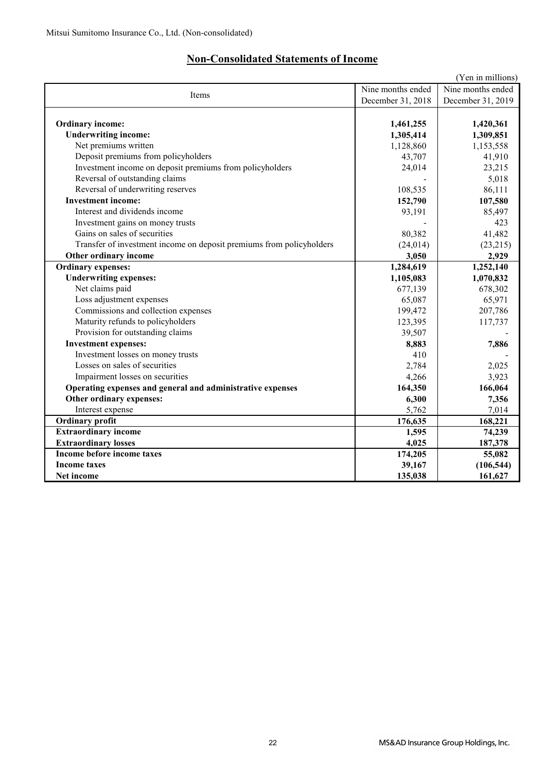## **Non-Consolidated Statements of Income**

|                                                                      |                   | (Yen in millions) |
|----------------------------------------------------------------------|-------------------|-------------------|
| Items                                                                | Nine months ended |                   |
|                                                                      | December 31, 2018 | December 31, 2019 |
|                                                                      |                   |                   |
| <b>Ordinary income:</b>                                              | 1,461,255         | 1,420,361         |
| <b>Underwriting income:</b>                                          | 1,305,414         | 1,309,851         |
| Net premiums written                                                 | 1,128,860         | 1,153,558         |
| Deposit premiums from policyholders                                  | 43,707            | 41,910            |
| Investment income on deposit premiums from policyholders             | 24,014            | 23,215            |
| Reversal of outstanding claims                                       |                   | 5,018             |
| Reversal of underwriting reserves                                    | 108,535           | 86,111            |
| <b>Investment income:</b>                                            | 152,790           | 107,580           |
| Interest and dividends income                                        | 93,191            | 85,497            |
| Investment gains on money trusts                                     |                   | 423               |
| Gains on sales of securities                                         | 80,382            | 41,482            |
| Transfer of investment income on deposit premiums from policyholders | (24, 014)         | (23,215)          |
| Other ordinary income                                                | 3,050             | 2,929             |
| <b>Ordinary expenses:</b>                                            | 1,284,619         | 1,252,140         |
| <b>Underwriting expenses:</b>                                        | 1,105,083         | 1,070,832         |
| Net claims paid                                                      | 677,139           | 678,302           |
| Loss adjustment expenses                                             | 65,087            | 65,971            |
| Commissions and collection expenses                                  | 199,472           | 207,786           |
| Maturity refunds to policyholders                                    | 123,395           | 117,737           |
| Provision for outstanding claims                                     | 39,507            |                   |
| <b>Investment expenses:</b>                                          | 8,883             | 7,886             |
| Investment losses on money trusts                                    | 410               |                   |
| Losses on sales of securities                                        | 2,784             | 2,025             |
| Impairment losses on securities                                      | 4,266             | 3,923             |
| Operating expenses and general and administrative expenses           | 164,350           | 166,064           |
| Other ordinary expenses:                                             | 6,300             | 7,356             |
| Interest expense                                                     | 5,762             | 7,014             |
| <b>Ordinary profit</b>                                               | 176,635           | 168,221           |
| <b>Extraordinary income</b>                                          | 1,595             | 74,239            |
| <b>Extraordinary losses</b>                                          | 4,025             | 187,378           |
| Income before income taxes                                           | 174,205           | 55,082            |
| <b>Income taxes</b>                                                  | 39,167            | (106, 544)        |
| Net income                                                           | 135,038           | 161,627           |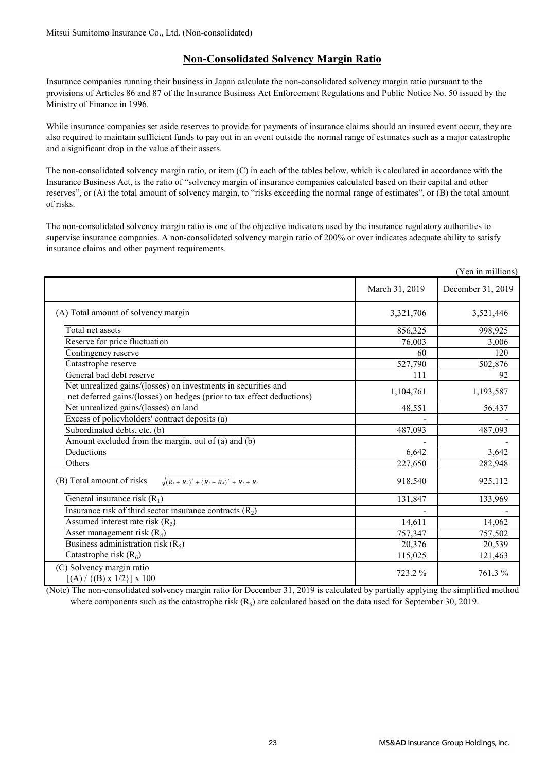### **Non-Consolidated Solvency Margin Ratio**

Insurance companies running their business in Japan calculate the non-consolidated solvency margin ratio pursuant to the provisions of Articles 86 and 87 of the Insurance Business Act Enforcement Regulations and Public Notice No. 50 issued by the Ministry of Finance in 1996.

While insurance companies set aside reserves to provide for payments of insurance claims should an insured event occur, they are also required to maintain sufficient funds to pay out in an event outside the normal range of estimates such as a major catastrophe and a significant drop in the value of their assets.

The non-consolidated solvency margin ratio, or item (C) in each of the tables below, which is calculated in accordance with the Insurance Business Act, is the ratio of "solvency margin of insurance companies calculated based on their capital and other reserves", or (A) the total amount of solvency margin, to "risks exceeding the normal range of estimates", or (B) the total amount of risks.

The non-consolidated solvency margin ratio is one of the objective indicators used by the insurance regulatory authorities to supervise insurance companies. A non-consolidated solvency margin ratio of 200% or over indicates adequate ability to satisfy insurance claims and other payment requirements.

|                                                                                                                                          |                | (Yen in millions) |
|------------------------------------------------------------------------------------------------------------------------------------------|----------------|-------------------|
|                                                                                                                                          | March 31, 2019 | December 31, 2019 |
| (A) Total amount of solvency margin                                                                                                      | 3,321,706      | 3,521,446         |
| Total net assets                                                                                                                         | 856,325        | 998,925           |
| Reserve for price fluctuation                                                                                                            | 76,003         | 3,006             |
| Contingency reserve                                                                                                                      | 60             | 120               |
| Catastrophe reserve                                                                                                                      | 527,790        | 502,876           |
| General bad debt reserve                                                                                                                 | 111            | 92                |
| Net unrealized gains/(losses) on investments in securities and<br>net deferred gains/(losses) on hedges (prior to tax effect deductions) | 1,104,761      | 1,193,587         |
| Net unrealized gains/(losses) on land                                                                                                    | 48,551         | 56,437            |
| Excess of policyholders' contract deposits (a)                                                                                           |                |                   |
| Subordinated debts, etc. (b)                                                                                                             | 487,093        | 487,093           |
| Amount excluded from the margin, out of (a) and (b)                                                                                      |                |                   |
| Deductions                                                                                                                               | 6,642          | 3,642             |
| Others                                                                                                                                   | 227,650        | 282,948           |
| $\sqrt{(R_1+R_2)^2+(R_3+R_4)^2}$ + $R_5+R_6$<br>(B) Total amount of risks                                                                | 918,540        | 925,112           |
| General insurance risk $(R_1)$                                                                                                           | 131,847        | 133,969           |
| Insurance risk of third sector insurance contracts $(R_2)$                                                                               |                |                   |
| Assumed interest rate risk $(R_3)$                                                                                                       | 14,611         | 14,062            |
| Asset management risk $(R_4)$                                                                                                            | 757,347        | 757,502           |
| Business administration risk $(R_5)$                                                                                                     | 20,376         | 20,539            |
| Catastrophe risk $(R_6)$                                                                                                                 | 115,025        | 121,463           |
| (C) Solvency margin ratio<br>$[(A) / {(B) x 1/2}] x 100$                                                                                 | 723.2 %        | 761.3%            |

(Note) The non-consolidated solvency margin ratio for December 31, 2019 is calculated by partially applying the simplified method where components such as the catastrophe risk  $(R<sub>6</sub>)$  are calculated based on the data used for September 30, 2019.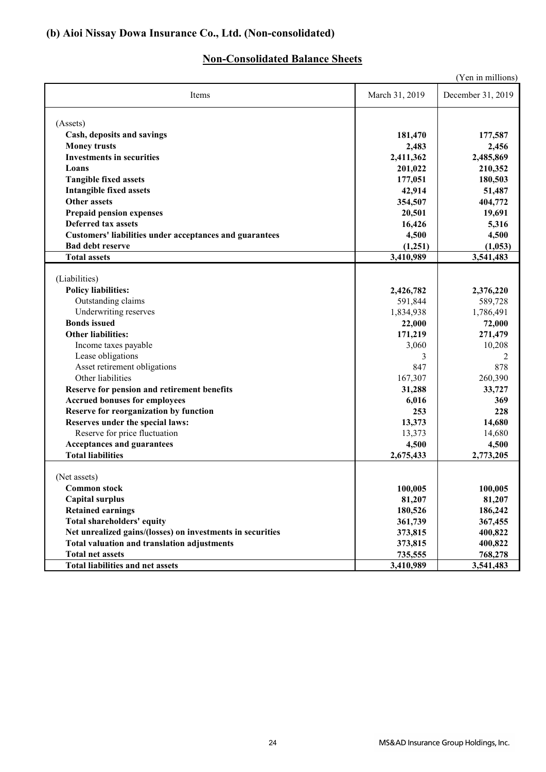## **(b) Aioi Nissay Dowa Insurance Co., Ltd. (Non-consolidated)**

## **Non-Consolidated Balance Sheets**

|                                                                                           |                      | (Yen in millions)    |
|-------------------------------------------------------------------------------------------|----------------------|----------------------|
| Items                                                                                     | March 31, 2019       | December 31, 2019    |
| (Assets)                                                                                  |                      |                      |
| Cash, deposits and savings                                                                | 181,470              | 177,587              |
| <b>Money trusts</b>                                                                       | 2,483                | 2,456                |
| <b>Investments in securities</b>                                                          | 2,411,362            | 2,485,869            |
| Loans                                                                                     | 201,022              | 210,352              |
| <b>Tangible fixed assets</b>                                                              | 177,051              | 180,503              |
| <b>Intangible fixed assets</b>                                                            | 42,914               | 51,487               |
| <b>Other assets</b>                                                                       | 354,507              | 404,772              |
| <b>Prepaid pension expenses</b>                                                           | 20,501               | 19,691               |
| <b>Deferred tax assets</b>                                                                |                      |                      |
|                                                                                           | 16,426               | 5,316                |
| <b>Customers' liabilities under acceptances and guarantees</b><br><b>Bad debt reserve</b> | 4,500                | 4,500                |
| <b>Total assets</b>                                                                       | (1,251)<br>3,410,989 | (1,053)<br>3,541,483 |
|                                                                                           |                      |                      |
| (Liabilities)                                                                             |                      |                      |
| <b>Policy liabilities:</b>                                                                | 2,426,782            | 2,376,220            |
| Outstanding claims                                                                        | 591,844              | 589,728              |
| Underwriting reserves                                                                     | 1,834,938            | 1,786,491            |
| <b>Bonds</b> issued                                                                       | 22,000               | 72,000               |
| <b>Other liabilities:</b>                                                                 | 171,219              | 271,479              |
| Income taxes payable                                                                      | 3,060                | 10,208               |
| Lease obligations                                                                         | 3                    | 2                    |
| Asset retirement obligations                                                              | 847                  | 878                  |
| Other liabilities                                                                         | 167,307              | 260,390              |
| Reserve for pension and retirement benefits                                               | 31,288               | 33,727               |
| <b>Accrued bonuses for employees</b>                                                      | 6,016                | 369                  |
| Reserve for reorganization by function                                                    | 253                  | 228                  |
| Reserves under the special laws:                                                          | 13,373               | 14,680               |
| Reserve for price fluctuation                                                             | 13,373               | 14,680               |
| <b>Acceptances and guarantees</b>                                                         | 4,500                | 4,500                |
| <b>Total liabilities</b>                                                                  | 2,675,433            | 2,773,205            |
|                                                                                           |                      |                      |
| (Net assets)                                                                              |                      |                      |
| <b>Common stock</b>                                                                       | 100,005              | 100,005              |
| <b>Capital surplus</b>                                                                    | 81,207               | 81,207               |
| <b>Retained earnings</b>                                                                  | 180,526              | 186,242              |
| <b>Total shareholders' equity</b>                                                         | 361,739              | 367,455              |
| Net unrealized gains/(losses) on investments in securities                                | 373,815              | 400,822              |
| <b>Total valuation and translation adjustments</b>                                        | 373,815              | 400,822              |
| <b>Total net assets</b>                                                                   | 735,555              | 768,278              |
| <b>Total liabilities and net assets</b>                                                   | 3,410,989            | 3,541,483            |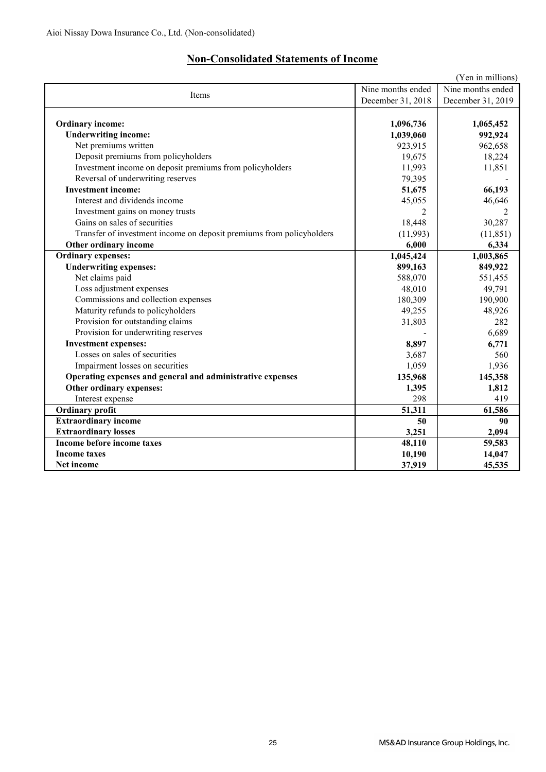## **Non-Consolidated Statements of Income**

|                                                                      |                   | (Yen in millions) |
|----------------------------------------------------------------------|-------------------|-------------------|
| Items                                                                | Nine months ended | Nine months ended |
|                                                                      | December 31, 2018 | December 31, 2019 |
|                                                                      |                   |                   |
| <b>Ordinary income:</b>                                              | 1,096,736         | 1,065,452         |
| <b>Underwriting income:</b>                                          | 1,039,060         | 992,924           |
| Net premiums written                                                 | 923,915           | 962,658           |
| Deposit premiums from policyholders                                  | 19,675            | 18,224            |
| Investment income on deposit premiums from policyholders             | 11,993            | 11,851            |
| Reversal of underwriting reserves                                    | 79,395            |                   |
| <b>Investment income:</b>                                            | 51,675            | 66,193            |
| Interest and dividends income                                        | 45,055            | 46,646            |
| Investment gains on money trusts                                     | 2                 | 2                 |
| Gains on sales of securities                                         | 18,448            | 30,287            |
| Transfer of investment income on deposit premiums from policyholders | (11,993)          | (11, 851)         |
| Other ordinary income                                                | 6,000             | 6,334             |
| <b>Ordinary expenses:</b>                                            | 1,045,424         | 1,003,865         |
| <b>Underwriting expenses:</b>                                        | 899,163           | 849,922           |
| Net claims paid                                                      | 588,070           | 551,455           |
| Loss adjustment expenses                                             | 48,010            | 49,791            |
| Commissions and collection expenses                                  | 180,309           | 190,900           |
| Maturity refunds to policyholders                                    | 49,255            | 48,926            |
| Provision for outstanding claims                                     | 31,803            | 282               |
| Provision for underwriting reserves                                  |                   | 6,689             |
| <b>Investment expenses:</b>                                          | 8,897             | 6,771             |
| Losses on sales of securities                                        | 3,687             | 560               |
| Impairment losses on securities                                      | 1,059             | 1,936             |
| Operating expenses and general and administrative expenses           | 135,968           | 145,358           |
| Other ordinary expenses:                                             | 1,395             | 1,812             |
| Interest expense                                                     | 298               | 419               |
| <b>Ordinary</b> profit                                               | 51,311            | 61,586            |
| <b>Extraordinary income</b>                                          | 50                | 90                |
| <b>Extraordinary losses</b>                                          | 3,251             | 2,094             |
| Income before income taxes                                           | 48,110            | 59,583            |
| <b>Income taxes</b>                                                  | 10,190            | 14,047            |
| Net income                                                           | 37,919            | 45,535            |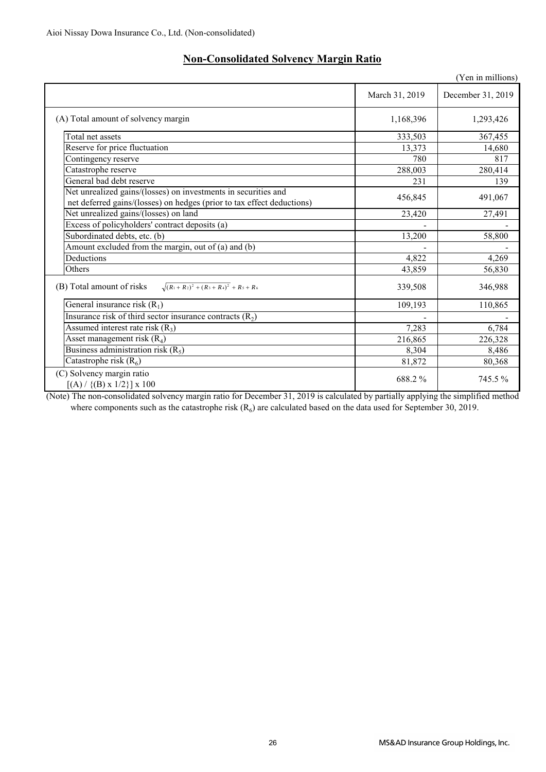|                                                                                                                                          |                | (Yen in millions) |
|------------------------------------------------------------------------------------------------------------------------------------------|----------------|-------------------|
|                                                                                                                                          | March 31, 2019 | December 31, 2019 |
| (A) Total amount of solvency margin                                                                                                      | 1,168,396      | 1,293,426         |
| Total net assets                                                                                                                         | 333,503        | 367,455           |
| Reserve for price fluctuation                                                                                                            | 13,373         | 14,680            |
| Contingency reserve                                                                                                                      | 780            | 817               |
| Catastrophe reserve                                                                                                                      | 288,003        | 280,414           |
| General bad debt reserve                                                                                                                 | 231            | 139               |
| Net unrealized gains/(losses) on investments in securities and<br>net deferred gains/(losses) on hedges (prior to tax effect deductions) | 456,845        | 491,067           |
| Net unrealized gains/(losses) on land                                                                                                    | 23,420         | 27,491            |
| Excess of policyholders' contract deposits (a)                                                                                           |                |                   |
| Subordinated debts, etc. (b)                                                                                                             | 13,200         | 58,800            |
| Amount excluded from the margin, out of (a) and (b)                                                                                      |                |                   |
| Deductions                                                                                                                               | 4,822          | 4,269             |
| Others                                                                                                                                   | 43,859         | 56,830            |
| $\sqrt{(R_1+R_2)^2+(R_3+R_4)^2}$ + R <sub>5</sub> + R <sub>6</sub><br>(B) Total amount of risks                                          | 339,508        | 346,988           |
| General insurance risk $(R_1)$                                                                                                           | 109,193        | 110,865           |
| Insurance risk of third sector insurance contracts $(R_2)$                                                                               |                |                   |
| Assumed interest rate risk $(R_3)$                                                                                                       | 7,283          | 6,784             |
| Asset management risk $(R_4)$                                                                                                            | 216,865        | 226,328           |
| Business administration risk $(R_5)$                                                                                                     | 8,304          | 8,486             |
| Catastrophe risk $(R6)$                                                                                                                  | 81,872         | 80,368            |
| (C) Solvency margin ratio<br>$[(A) / {(B) x 1/2}] x 100$                                                                                 | 688.2%         | 745.5%            |

## **Non-Consolidated Solvency Margin Ratio**

(Note) The non-consolidated solvency margin ratio for December 31, 2019 is calculated by partially applying the simplified method where components such as the catastrophe risk  $(R_6)$  are calculated based on the data used for September 30, 2019.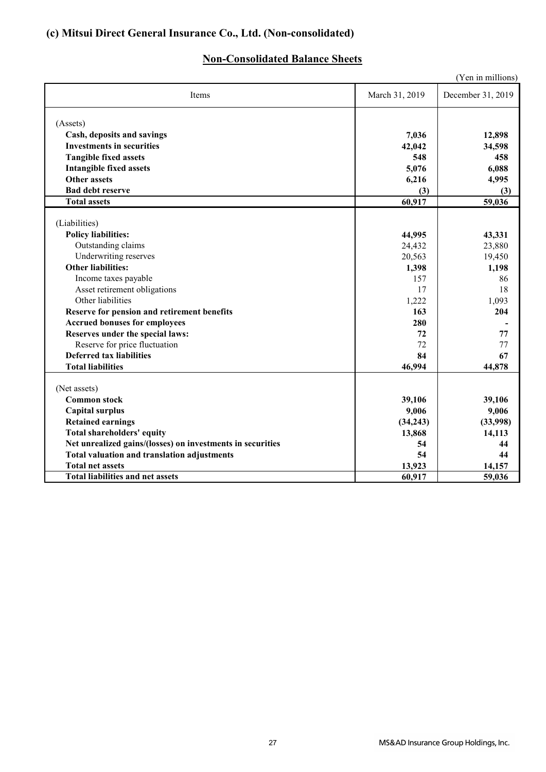## **(c) Mitsui Direct General Insurance Co., Ltd. (Non-consolidated)**

## **Non-Consolidated Balance Sheets**

|                                                            |                | (Yen in millions) |
|------------------------------------------------------------|----------------|-------------------|
| Items                                                      | March 31, 2019 | December 31, 2019 |
| (Assets)                                                   |                |                   |
| Cash, deposits and savings                                 | 7,036          | 12,898            |
| <b>Investments in securities</b>                           | 42,042         | 34,598            |
| <b>Tangible fixed assets</b>                               | 548            | 458               |
| <b>Intangible fixed assets</b>                             | 5,076          | 6,088             |
| <b>Other assets</b>                                        | 6,216          | 4,995             |
| <b>Bad debt reserve</b>                                    | (3)            | (3)               |
| <b>Total assets</b>                                        | 60,917         | 59,036            |
| (Liabilities)                                              |                |                   |
| <b>Policy liabilities:</b>                                 | 44,995         | 43,331            |
| Outstanding claims                                         | 24,432         | 23,880            |
| Underwriting reserves                                      | 20,563         | 19,450            |
| <b>Other liabilities:</b>                                  | 1,398          | 1,198             |
| Income taxes payable                                       | 157            | 86                |
| Asset retirement obligations                               | 17             | 18                |
| Other liabilities                                          | 1,222          | 1,093             |
| Reserve for pension and retirement benefits                | 163            | 204               |
| <b>Accrued bonuses for employees</b>                       | 280            |                   |
| Reserves under the special laws:                           | 72             | 77                |
| Reserve for price fluctuation                              | 72             | 77                |
| <b>Deferred tax liabilities</b>                            | 84             | 67                |
| <b>Total liabilities</b>                                   | 46,994         | 44,878            |
| (Net assets)                                               |                |                   |
| <b>Common stock</b>                                        | 39,106         | 39,106            |
| <b>Capital surplus</b>                                     | 9,006          | 9,006             |
| <b>Retained earnings</b>                                   | (34,243)       | (33,998)          |
| <b>Total shareholders' equity</b>                          | 13,868         | 14,113            |
| Net unrealized gains/(losses) on investments in securities | 54             | 44                |
| Total valuation and translation adjustments                | 54             | 44                |
| <b>Total net assets</b>                                    | 13,923         | 14,157            |
| <b>Total liabilities and net assets</b>                    | 60,917         | 59,036            |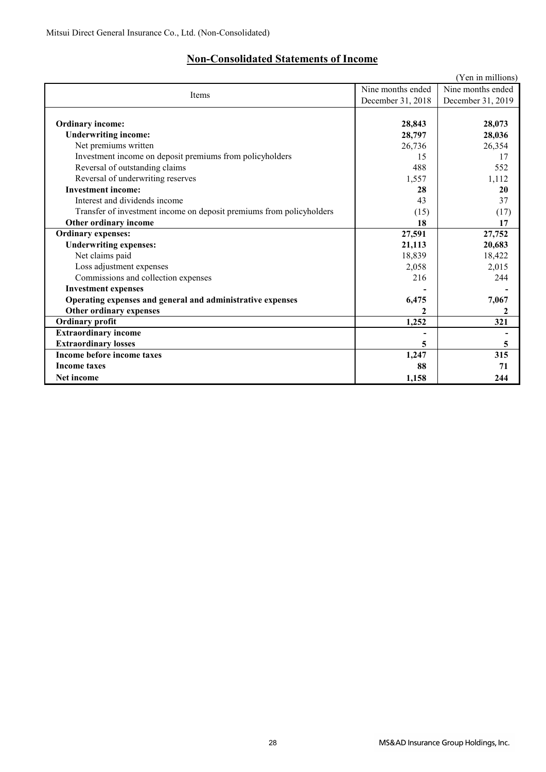## **Non-Consolidated Statements of Income**

|                                                                      |                   | (Yen in millions) |
|----------------------------------------------------------------------|-------------------|-------------------|
| Items                                                                | Nine months ended |                   |
|                                                                      | December 31, 2018 | December 31, 2019 |
|                                                                      |                   |                   |
| <b>Ordinary income:</b>                                              | 28,843            | 28,073            |
| <b>Underwriting income:</b>                                          | 28,797            | 28,036            |
| Net premiums written                                                 | 26,736            | 26,354            |
| Investment income on deposit premiums from policyholders             | 15                | 17                |
| Reversal of outstanding claims                                       | 488               | 552               |
| Reversal of underwriting reserves                                    | 1,557             | 1,112             |
| <b>Investment income:</b>                                            | 28                | 20                |
| Interest and dividends income                                        | 43                | 37                |
| Transfer of investment income on deposit premiums from policyholders | (15)              | (17)              |
| Other ordinary income                                                | 18                | 17                |
| <b>Ordinary expenses:</b>                                            | 27,591            | 27,752            |
| <b>Underwriting expenses:</b>                                        | 21,113            | 20,683            |
| Net claims paid                                                      | 18,839            | 18,422            |
| Loss adjustment expenses                                             | 2,058             | 2,015             |
| Commissions and collection expenses                                  | 216               | 244               |
| <b>Investment expenses</b>                                           |                   |                   |
| Operating expenses and general and administrative expenses           | 6,475             | 7,067             |
| Other ordinary expenses                                              |                   | 2                 |
| <b>Ordinary profit</b>                                               | 1,252             | 321               |
| <b>Extraordinary income</b>                                          |                   |                   |
| <b>Extraordinary losses</b>                                          | 5                 | 5                 |
| Income before income taxes                                           | 1,247             | 315               |
| <b>Income taxes</b>                                                  | 88                | 71                |
| <b>Net income</b>                                                    | 1,158             | 244               |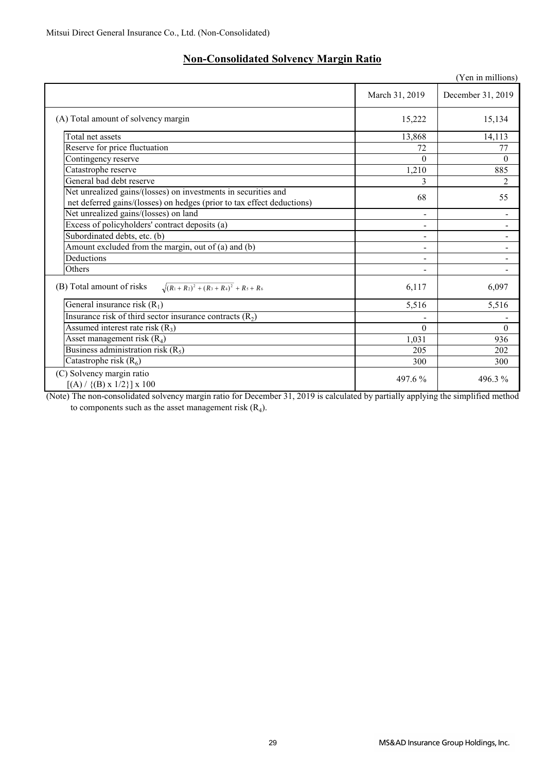| <b>Non-Consolidated Solvency Margin Ratio</b> |  |  |
|-----------------------------------------------|--|--|
|                                               |  |  |

|                                                                                                                                          |                | (Yen in millions)            |
|------------------------------------------------------------------------------------------------------------------------------------------|----------------|------------------------------|
|                                                                                                                                          | March 31, 2019 | December 31, 2019            |
| (A) Total amount of solvency margin                                                                                                      | 15,222         | 15,134                       |
| Total net assets                                                                                                                         | 13,868         | 14,113                       |
| Reserve for price fluctuation                                                                                                            | 72             | 77                           |
| Contingency reserve                                                                                                                      | $\Omega$       | $\theta$                     |
| Catastrophe reserve                                                                                                                      | 1,210          | 885                          |
| General bad debt reserve                                                                                                                 | 3              | 2                            |
| Net unrealized gains/(losses) on investments in securities and<br>net deferred gains/(losses) on hedges (prior to tax effect deductions) | 68             | 55                           |
| Net unrealized gains/(losses) on land                                                                                                    | Ξ.             | $\qquad \qquad \blacksquare$ |
| Excess of policyholders' contract deposits (a)                                                                                           |                |                              |
| Subordinated debts, etc. (b)                                                                                                             |                |                              |
| Amount excluded from the margin, out of (a) and (b)                                                                                      |                |                              |
| Deductions                                                                                                                               |                |                              |
| Others                                                                                                                                   | ۰              |                              |
| (B) Total amount of risks<br>$\sqrt{(R_1+R_2)^2+(R_3+R_4)^2}$ + R <sub>5</sub> + R <sub>6</sub>                                          | 6,117          | 6,097                        |
| General insurance risk $(R_1)$                                                                                                           | 5,516          | 5,516                        |
| Insurance risk of third sector insurance contracts $(R_2)$                                                                               |                |                              |
| Assumed interest rate risk $(R_3)$                                                                                                       | $\Omega$       | $\theta$                     |
| Asset management risk $(R_4)$                                                                                                            | 1,031          | 936                          |
| Business administration risk $(R_5)$                                                                                                     | 205            | 202                          |
| Catastrophe risk $(R6)$                                                                                                                  | 300            | 300                          |
| (C) Solvency margin ratio<br>$[(A) / {(B) x 1/2}] x 100$                                                                                 | 497.6 %        | 496.3%                       |

(Note) The non-consolidated solvency margin ratio for December 31, 2019 is calculated by partially applying the simplified method to components such as the asset management risk  $(R_4)$ .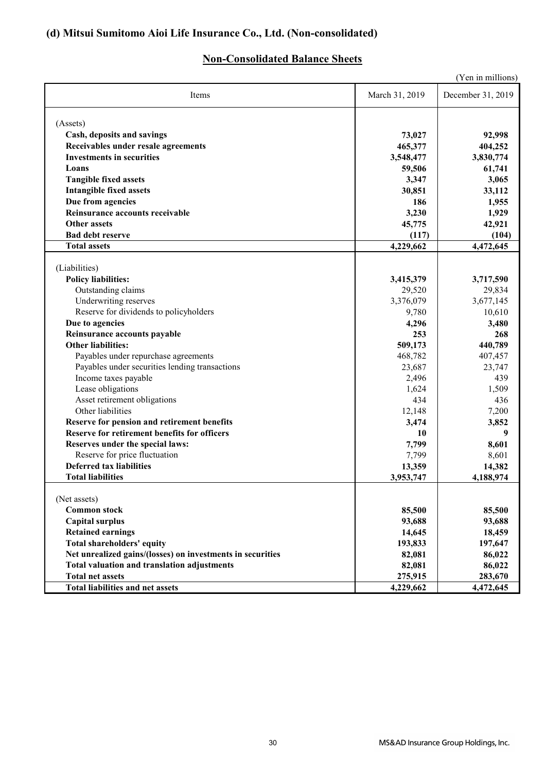## **(d) Mitsui Sumitomo Aioi Life Insurance Co., Ltd. (Non-consolidated)**

## **Non-Consolidated Balance Sheets**

| (Yen in millions)                                           |                     |                        |  |
|-------------------------------------------------------------|---------------------|------------------------|--|
| Items                                                       | March 31, 2019      | December 31, 2019      |  |
| (Assets)                                                    |                     |                        |  |
| Cash, deposits and savings                                  | 73,027              | 92,998                 |  |
| Receivables under resale agreements                         | 465,377             | 404,252                |  |
| <b>Investments in securities</b>                            | 3,548,477           | 3,830,774              |  |
| Loans                                                       | 59,506              | 61,741                 |  |
| <b>Tangible fixed assets</b>                                | 3,347               | 3,065                  |  |
| <b>Intangible fixed assets</b>                              | 30,851              | 33,112                 |  |
| Due from agencies                                           | 186                 | 1,955                  |  |
| Reinsurance accounts receivable                             | 3,230               | 1,929                  |  |
| <b>Other assets</b>                                         | 45,775              | 42,921                 |  |
| <b>Bad debt reserve</b>                                     | (117)               | (104)                  |  |
| <b>Total assets</b>                                         | 4,229,662           | $\overline{4,}472,645$ |  |
| (Liabilities)                                               |                     |                        |  |
| <b>Policy liabilities:</b>                                  | 3,415,379           | 3,717,590              |  |
| Outstanding claims                                          | 29,520              | 29,834                 |  |
| Underwriting reserves                                       | 3,376,079           | 3,677,145              |  |
| Reserve for dividends to policyholders                      | 9,780               | 10,610                 |  |
| Due to agencies                                             | 4,296               | 3,480                  |  |
| Reinsurance accounts payable                                | 253                 | 268                    |  |
| <b>Other liabilities:</b>                                   | 509,173             | 440,789                |  |
| Payables under repurchase agreements                        | 468,782             | 407,457                |  |
| Payables under securities lending transactions              | 23,687              | 23,747                 |  |
| Income taxes payable                                        | 2,496               | 439                    |  |
| Lease obligations                                           | 1,624               | 1,509                  |  |
| Asset retirement obligations                                | 434                 | 436                    |  |
| Other liabilities                                           | 12,148              | 7,200                  |  |
| Reserve for pension and retirement benefits                 | 3,474               | 3,852                  |  |
| <b>Reserve for retirement benefits for officers</b>         | 10                  | 9                      |  |
| Reserves under the special laws:                            | 7,799               | 8,601                  |  |
| Reserve for price fluctuation                               | 7,799               | 8,601                  |  |
| <b>Deferred tax liabilities</b><br><b>Total liabilities</b> | 13,359<br>3,953,747 | 14,382                 |  |
|                                                             |                     | 4,188,974              |  |
| (Net assets)                                                |                     |                        |  |
| <b>Common stock</b>                                         | 85,500              | 85,500                 |  |
| <b>Capital surplus</b>                                      | 93,688              | 93,688                 |  |
| <b>Retained earnings</b>                                    | 14,645              | 18,459                 |  |
| <b>Total shareholders' equity</b>                           | 193,833             | 197,647                |  |
| Net unrealized gains/(losses) on investments in securities  | 82,081              | 86,022                 |  |
| <b>Total valuation and translation adjustments</b>          | 82,081              | 86,022                 |  |
| <b>Total net assets</b>                                     | 275,915             | 283,670                |  |
| <b>Total liabilities and net assets</b>                     | 4,229,662           | 4,472,645              |  |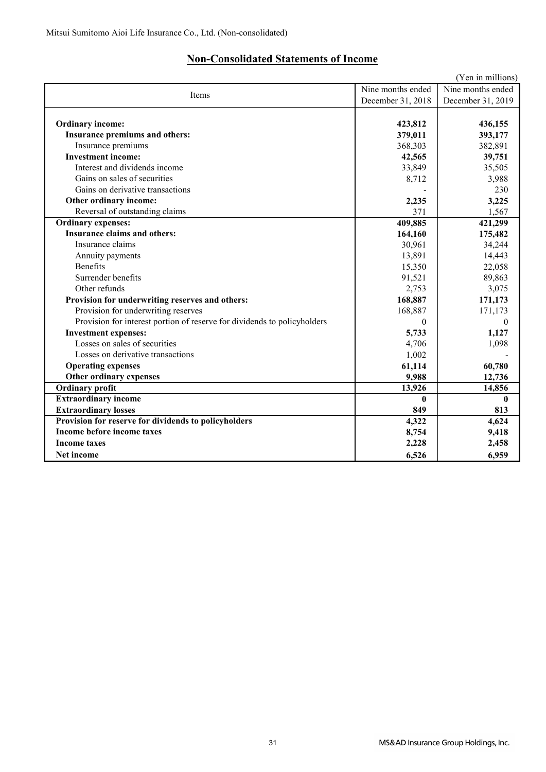## **Non-Consolidated Statements of Income**

| (Yen in millions)                                                        |                   |                   |  |
|--------------------------------------------------------------------------|-------------------|-------------------|--|
|                                                                          | Nine months ended | Nine months ended |  |
| Items                                                                    | December 31, 2018 | December 31, 2019 |  |
|                                                                          |                   |                   |  |
| <b>Ordinary income:</b>                                                  | 423,812           | 436,155           |  |
| Insurance premiums and others:                                           | 379,011           | 393,177           |  |
| Insurance premiums                                                       | 368,303           | 382,891           |  |
| <b>Investment income:</b>                                                | 42,565            | 39,751            |  |
| Interest and dividends income                                            | 33,849            | 35,505            |  |
| Gains on sales of securities                                             | 8,712             | 3,988             |  |
| Gains on derivative transactions                                         |                   | 230               |  |
| Other ordinary income:                                                   | 2,235             | 3,225             |  |
| Reversal of outstanding claims                                           | 371               | 1,567             |  |
| <b>Ordinary expenses:</b>                                                | 409,885           | 421,299           |  |
| <b>Insurance claims and others:</b>                                      | 164,160           | 175,482           |  |
| Insurance claims                                                         | 30,961            | 34,244            |  |
| Annuity payments                                                         | 13,891            | 14,443            |  |
| <b>Benefits</b>                                                          | 15,350            | 22,058            |  |
| Surrender benefits                                                       | 91,521            | 89,863            |  |
| Other refunds                                                            | 2,753             | 3,075             |  |
| Provision for underwriting reserves and others:                          | 168,887           | 171,173           |  |
| Provision for underwriting reserves                                      | 168,887           | 171,173           |  |
| Provision for interest portion of reserve for dividends to policyholders | 0                 | $\theta$          |  |
| <b>Investment expenses:</b>                                              | 5,733             | 1,127             |  |
| Losses on sales of securities                                            | 4,706             | 1,098             |  |
| Losses on derivative transactions                                        | 1,002             |                   |  |
| <b>Operating expenses</b>                                                | 61,114            | 60,780            |  |
| Other ordinary expenses                                                  | 9,988             | 12,736            |  |
| <b>Ordinary profit</b>                                                   | 13,926            | 14,856            |  |
| <b>Extraordinary income</b>                                              | $\mathbf{0}$      | $\mathbf{0}$      |  |
| <b>Extraordinary losses</b>                                              | 849               | 813               |  |
| Provision for reserve for dividends to policyholders                     | 4,322             | 4,624             |  |
| Income before income taxes                                               | 8,754             | 9,418             |  |
| <b>Income taxes</b>                                                      | 2,228             | 2,458             |  |
| <b>Net income</b>                                                        | 6,526             | 6,959             |  |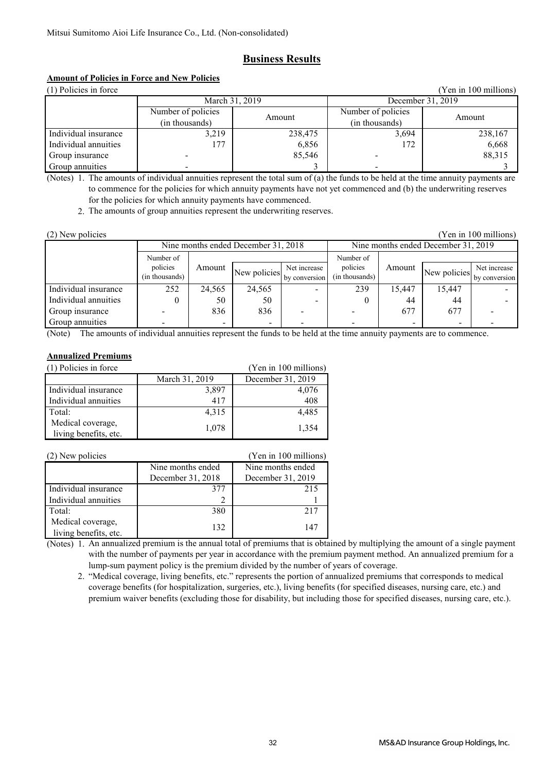## **Business Results**

## **Amount of Policies in Force and New Policies**

| (1) Policies in force<br>(Yen in 100 millions) |                    |                   |                    |         |
|------------------------------------------------|--------------------|-------------------|--------------------|---------|
| March 31, 2019                                 |                    | December 31, 2019 |                    |         |
|                                                | Number of policies | Amount            | Number of policies | Amount  |
|                                                | (in thousands)     |                   | (in thousands)     |         |
| Individual insurance                           | 3,219              | 238,475           | 3,694              | 238,167 |
| Individual annuities                           | 177                | 6,856             | 172                | 6,668   |
| Group insurance                                |                    | 85,546            |                    | 88,315  |
| Group annuities                                |                    |                   |                    |         |

(Notes) 1. The amounts of individual annuities represent the total sum of (a) the funds to be held at the time annuity payments are to commence for the policies for which annuity payments have not yet commenced and (b) the underwriting reserves for the policies for which annuity payments have commenced.

2. The amounts of group annuities represent the underwriting reserves.

| (2) New policies<br>(Yen in 100 millions) |                |                          |               |                                     |           |        |               |              |
|-------------------------------------------|----------------|--------------------------|---------------|-------------------------------------|-----------|--------|---------------|--------------|
| Nine months ended December 31, 2018       |                |                          |               | Nine months ended December 31, 2019 |           |        |               |              |
|                                           | Number of      |                          |               |                                     | Number of |        |               |              |
|                                           | policies       | Amount                   | New policies  | Net increase                        | policies  | Amount | New policies  | Net increase |
|                                           | (in thousands) |                          | by conversion | (in thousands)                      |           |        | by conversion |              |
| Individual insurance                      | 252            | 24,565                   | 24,565        |                                     | 239       | 15.447 | 15,447        |              |
| Individual annuities                      |                | 50                       | 50            |                                     |           | 44     | 44            |              |
| Group insurance                           |                | 836                      | 836           |                                     |           | 677    | 677           |              |
| Group annuities                           |                | $\overline{\phantom{0}}$ | -             |                                     |           |        |               |              |

(Note) The amounts of individual annuities represent the funds to be held at the time annuity payments are to commence.

### **Annualized Premiums**

| (1) Policies in force | (Yen in 100 millions) |                   |
|-----------------------|-----------------------|-------------------|
|                       | March 31, 2019        | December 31, 2019 |
| Individual insurance  | 3,897                 | 4,076             |
| Individual annuities  | 417                   | 408               |
| Total:                | 4,315                 | 4,485             |
| Medical coverage,     | 1,078                 | 1,354             |
| living benefits, etc. |                       |                   |

| (2) New policies                           | (Yen in 100 millions) |                   |
|--------------------------------------------|-----------------------|-------------------|
|                                            | Nine months ended     | Nine months ended |
|                                            | December 31, 2018     | December 31, 2019 |
| Individual insurance                       | 377                   | 215               |
| Individual annuities                       |                       |                   |
| Total:                                     | 380                   | 217               |
| Medical coverage,<br>living benefits, etc. | 132                   | 147               |

(Notes) 1. An annualized premium is the annual total of premiums that is obtained by multiplying the amount of a single payment with the number of payments per year in accordance with the premium payment method. An annualized premium for a lump-sum payment policy is the premium divided by the number of years of coverage.

 2. "Medical coverage, living benefits, etc." represents the portion of annualized premiums that corresponds to medical coverage benefits (for hospitalization, surgeries, etc.), living benefits (for specified diseases, nursing care, etc.) and premium waiver benefits (excluding those for disability, but including those for specified diseases, nursing care, etc.).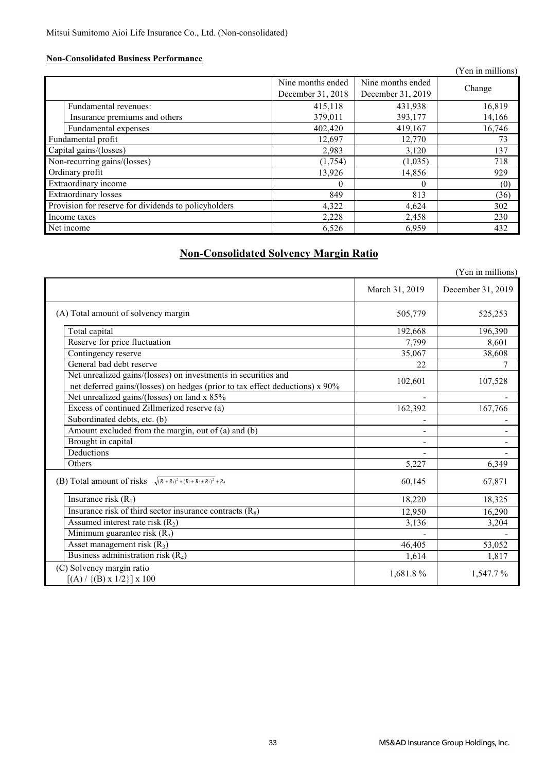### **Non-Consolidated Business Performance**

|                                                      |                                        |                                        | (Yen in millions) |
|------------------------------------------------------|----------------------------------------|----------------------------------------|-------------------|
|                                                      | Nine months ended<br>December 31, 2018 | Nine months ended<br>December 31, 2019 | Change            |
| Fundamental revenues:                                | 415,118                                | 431,938                                | 16,819            |
| Insurance premiums and others                        | 379,011                                | 393,177                                | 14,166            |
| Fundamental expenses                                 | 402,420                                | 419,167                                | 16,746            |
| Fundamental profit                                   | 12,697                                 | 12,770                                 | 73                |
| Capital gains/(losses)                               | 2,983                                  | 3,120                                  | 137               |
| Non-recurring gains/(losses)                         | (1,754)                                | (1,035)                                | 718               |
| Ordinary profit                                      | 13,926                                 | 14,856                                 | 929               |
| Extraordinary income                                 | $\Omega$                               | $\Omega$                               | (0)               |
| <b>Extraordinary losses</b>                          | 849                                    | 813                                    | (36)              |
| Provision for reserve for dividends to policyholders | 4,322                                  | 4,624                                  | 302               |
| Income taxes                                         | 2,228                                  | 2,458                                  | 230               |
| Net income                                           | 6,526                                  | 6,959                                  | 432               |

## **Non-Consolidated Solvency Margin Ratio**

|                                                                                                                                                |                | (Yen in millions) |
|------------------------------------------------------------------------------------------------------------------------------------------------|----------------|-------------------|
|                                                                                                                                                | March 31, 2019 | December 31, 2019 |
| (A) Total amount of solvency margin                                                                                                            | 505,779        | 525,253           |
| Total capital                                                                                                                                  | 192,668        | 196,390           |
| Reserve for price fluctuation                                                                                                                  | 7,799          | 8,601             |
| Contingency reserve                                                                                                                            | 35,067         | 38,608            |
| General bad debt reserve                                                                                                                       | 22             | 7                 |
| Net unrealized gains/(losses) on investments in securities and<br>net deferred gains/(losses) on hedges (prior to tax effect deductions) x 90% | 102,601        | 107,528           |
| Net unrealized gains/(losses) on land x 85%                                                                                                    |                |                   |
| Excess of continued Zillmerized reserve (a)                                                                                                    | 162,392        | 167,766           |
| Subordinated debts, etc. (b)                                                                                                                   |                |                   |
| Amount excluded from the margin, out of (a) and (b)                                                                                            |                |                   |
| Brought in capital                                                                                                                             |                |                   |
| Deductions                                                                                                                                     |                |                   |
| Others                                                                                                                                         | 5,227          | 6,349             |
| (B) Total amount of risks $\sqrt{(R_1+R_3)^2+(R_2+R_3+R_7)^2}$ + R <sub>4</sub>                                                                | 60,145         | 67,871            |
| Insurance risk $(R_1)$                                                                                                                         | 18,220         | 18,325            |
| Insurance risk of third sector insurance contracts $(R_8)$                                                                                     | 12,950         | 16,290            |
| Assumed interest rate risk $(R_2)$                                                                                                             | 3,136          | 3,204             |
| Minimum guarantee risk $(R_7)$                                                                                                                 |                |                   |
| Asset management risk $(R_3)$                                                                                                                  | 46,405         | 53,052            |
| Business administration risk $(R_4)$                                                                                                           | 1,614          | 1,817             |
| (C) Solvency margin ratio<br>$[(A) / {(B) x 1/2}] x 100$                                                                                       | 1,681.8%       | 1,547.7%          |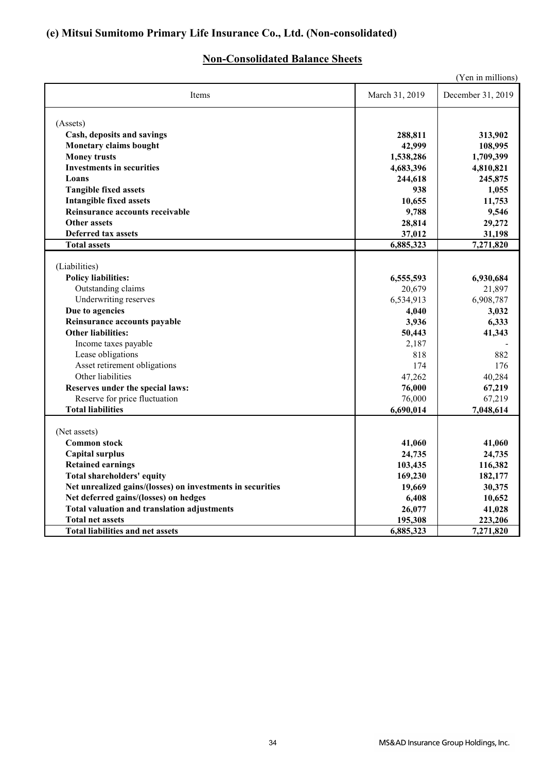## **(e) Mitsui Sumitomo Primary Life Insurance Co., Ltd. (Non-consolidated)**

## **Non-Consolidated Balance Sheets**

| (Yen in millions)                                          |                |                   |  |  |  |
|------------------------------------------------------------|----------------|-------------------|--|--|--|
| Items                                                      | March 31, 2019 | December 31, 2019 |  |  |  |
| (Assets)                                                   |                |                   |  |  |  |
| Cash, deposits and savings                                 | 288,811        | 313,902           |  |  |  |
| <b>Monetary claims bought</b>                              | 42,999         | 108,995           |  |  |  |
| <b>Money trusts</b>                                        | 1,538,286      | 1,709,399         |  |  |  |
| <b>Investments in securities</b>                           | 4,683,396      | 4,810,821         |  |  |  |
| Loans                                                      | 244,618        | 245,875           |  |  |  |
| <b>Tangible fixed assets</b>                               | 938            | 1,055             |  |  |  |
| <b>Intangible fixed assets</b>                             | 10.655         | 11,753            |  |  |  |
| Reinsurance accounts receivable                            | 9,788          | 9,546             |  |  |  |
| <b>Other assets</b>                                        | 28,814         | 29,272            |  |  |  |
| <b>Deferred tax assets</b>                                 | 37,012         | 31,198            |  |  |  |
| <b>Total assets</b>                                        | 6,885,323      | 7,271,820         |  |  |  |
|                                                            |                |                   |  |  |  |
| (Liabilities)                                              |                |                   |  |  |  |
| <b>Policy liabilities:</b>                                 | 6,555,593      | 6,930,684         |  |  |  |
| Outstanding claims                                         | 20,679         | 21,897            |  |  |  |
| Underwriting reserves                                      | 6,534,913      | 6,908,787         |  |  |  |
| Due to agencies                                            | 4,040          | 3,032             |  |  |  |
| Reinsurance accounts payable                               | 3,936          | 6,333             |  |  |  |
| <b>Other liabilities:</b>                                  | 50,443         | 41,343            |  |  |  |
| Income taxes payable                                       | 2,187          |                   |  |  |  |
| Lease obligations                                          | 818            | 882               |  |  |  |
| Asset retirement obligations                               | 174            | 176               |  |  |  |
| Other liabilities                                          | 47,262         | 40,284            |  |  |  |
| Reserves under the special laws:                           | 76,000         | 67,219            |  |  |  |
| Reserve for price fluctuation                              | 76,000         | 67,219            |  |  |  |
| <b>Total liabilities</b>                                   | 6,690,014      | 7,048,614         |  |  |  |
|                                                            |                |                   |  |  |  |
| (Net assets)                                               |                |                   |  |  |  |
| <b>Common stock</b>                                        | 41,060         | 41,060            |  |  |  |
| <b>Capital surplus</b>                                     | 24,735         | 24,735            |  |  |  |
| <b>Retained earnings</b>                                   | 103,435        | 116,382           |  |  |  |
| <b>Total shareholders' equity</b>                          | 169,230        | 182,177           |  |  |  |
| Net unrealized gains/(losses) on investments in securities | 19,669         | 30,375            |  |  |  |
| Net deferred gains/(losses) on hedges                      | 6,408          | 10,652            |  |  |  |
| <b>Total valuation and translation adjustments</b>         | 26,077         | 41,028            |  |  |  |
| <b>Total net assets</b>                                    | 195,308        | 223,206           |  |  |  |
| <b>Total liabilities and net assets</b>                    | 6,885,323      | 7,271,820         |  |  |  |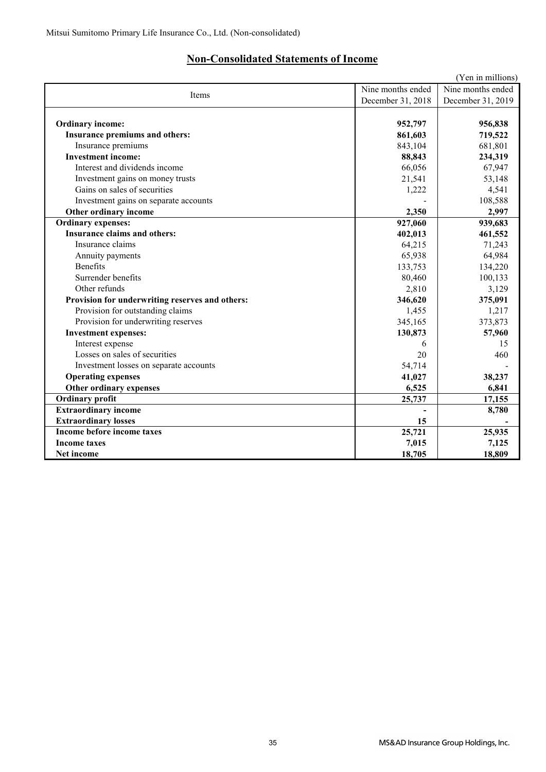## **Non-Consolidated Statements of Income**

|                                                 |                   | (Yen in millions) |
|-------------------------------------------------|-------------------|-------------------|
| Items                                           | Nine months ended | Nine months ended |
|                                                 | December 31, 2018 | December 31, 2019 |
|                                                 |                   |                   |
| <b>Ordinary income:</b>                         | 952,797           | 956,838           |
| <b>Insurance premiums and others:</b>           | 861,603           | 719,522           |
| Insurance premiums                              | 843,104           | 681,801           |
| <b>Investment income:</b>                       | 88,843            | 234,319           |
| Interest and dividends income                   | 66,056            | 67,947            |
| Investment gains on money trusts                | 21,541            | 53,148            |
| Gains on sales of securities                    | 1,222             | 4,541             |
| Investment gains on separate accounts           |                   | 108,588           |
| Other ordinary income                           | 2,350             | 2,997             |
| <b>Ordinary expenses:</b>                       | 927,060           | 939,683           |
| <b>Insurance claims and others:</b>             | 402,013           | 461,552           |
| Insurance claims                                | 64,215            | 71,243            |
| Annuity payments                                | 65,938            | 64,984            |
| <b>Benefits</b>                                 | 133,753           | 134,220           |
| Surrender benefits                              | 80,460            | 100,133           |
| Other refunds                                   | 2,810             | 3,129             |
| Provision for underwriting reserves and others: | 346,620           | 375,091           |
| Provision for outstanding claims                | 1,455             | 1,217             |
| Provision for underwriting reserves             | 345,165           | 373,873           |
| <b>Investment expenses:</b>                     | 130,873           | 57,960            |
| Interest expense                                | 6                 | 15                |
| Losses on sales of securities                   | 20                | 460               |
| Investment losses on separate accounts          | 54,714            |                   |
| <b>Operating expenses</b>                       | 41,027            | 38,237            |
| Other ordinary expenses                         | 6,525             | 6,841             |
| <b>Ordinary profit</b>                          | 25,737            | 17,155            |
| <b>Extraordinary income</b>                     |                   | 8,780             |
| <b>Extraordinary losses</b>                     | 15                |                   |
| Income before income taxes                      | 25,721            | 25,935            |
| <b>Income taxes</b>                             | 7,015             | 7,125             |
| Net income                                      | 18,705            | 18,809            |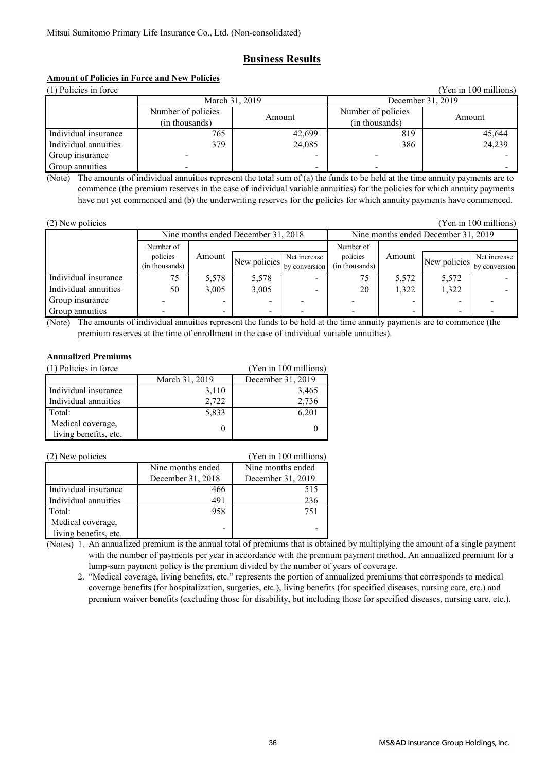## **Business Results**

## **Amount of Policies in Force and New Policies**

| (1) Policies in force<br>(Yen in 100 millions) |                                      |        |                                      |        |  |  |
|------------------------------------------------|--------------------------------------|--------|--------------------------------------|--------|--|--|
| March 31, 2019                                 |                                      |        | December 31, 2019                    |        |  |  |
|                                                | Number of policies<br>(in thousands) | Amount | Number of policies<br>(in thousands) | Amount |  |  |
| Individual insurance                           | 765                                  | 42,699 | 819                                  | 45,644 |  |  |
| Individual annuities                           | 379                                  | 24,085 | 386                                  | 24,239 |  |  |
| Group insurance                                |                                      |        |                                      |        |  |  |
| Group annuities                                |                                      | -      |                                      |        |  |  |

(Note) The amounts of individual annuities represent the total sum of (a) the funds to be held at the time annuity payments are to commence (the premium reserves in the case of individual variable annuities) for the policies for which annuity payments have not yet commenced and (b) the underwriting reserves for the policies for which annuity payments have commenced.

| (2) New policies     |                                     |                          |              |                               |                                     |        |              | (Yen in 100 millions)         |
|----------------------|-------------------------------------|--------------------------|--------------|-------------------------------|-------------------------------------|--------|--------------|-------------------------------|
|                      | Nine months ended December 31, 2018 |                          |              |                               | Nine months ended December 31, 2019 |        |              |                               |
|                      | Number of                           |                          |              |                               | Number of                           |        |              |                               |
|                      | policies<br>(in thousands)          | Amount                   | New policies | Net increase<br>by conversion | policies<br>(in thousands)          | Amount | New policies | Net increase<br>by conversion |
| Individual insurance | 75                                  | 5,578                    | 5,578        |                               | 75                                  | 5,572  | 5,572        |                               |
| Individual annuities | 50                                  | 3,005                    | 3,005        |                               | 20                                  | 1,322  | 1,322        |                               |
| Group insurance      |                                     |                          |              |                               |                                     |        |              |                               |
| Group annuities      |                                     | $\overline{\phantom{a}}$ |              |                               |                                     |        |              |                               |

(Note) The amounts of individual annuities represent the funds to be held at the time annuity payments are to commence (the premium reserves at the time of enrollment in the case of individual variable annuities).

### **Annualized Premiums**

| (1) Policies in force                      | (Yen in 100 millions) |                   |
|--------------------------------------------|-----------------------|-------------------|
|                                            | March 31, 2019        | December 31, 2019 |
| Individual insurance                       | 3,110                 | 3,465             |
| Individual annuities                       | 2,722                 | 2,736             |
| Total:                                     | 5,833                 | 6,201             |
| Medical coverage,<br>living benefits, etc. |                       |                   |
|                                            |                       |                   |

| (2) New policies      |                   | (Yen in 100 millions) |
|-----------------------|-------------------|-----------------------|
|                       | Nine months ended | Nine months ended     |
|                       | December 31, 2018 | December 31, 2019     |
| Individual insurance  | 466               | 515                   |
| Individual annuities  | 491               | 236                   |
| Total:                | 958               | 751                   |
| Medical coverage,     |                   |                       |
| living benefits, etc. |                   |                       |

(Notes) 1. An annualized premium is the annual total of premiums that is obtained by multiplying the amount of a single payment with the number of payments per year in accordance with the premium payment method. An annualized premium for a lump-sum payment policy is the premium divided by the number of years of coverage.

 2. "Medical coverage, living benefits, etc." represents the portion of annualized premiums that corresponds to medical coverage benefits (for hospitalization, surgeries, etc.), living benefits (for specified diseases, nursing care, etc.) and premium waiver benefits (excluding those for disability, but including those for specified diseases, nursing care, etc.).